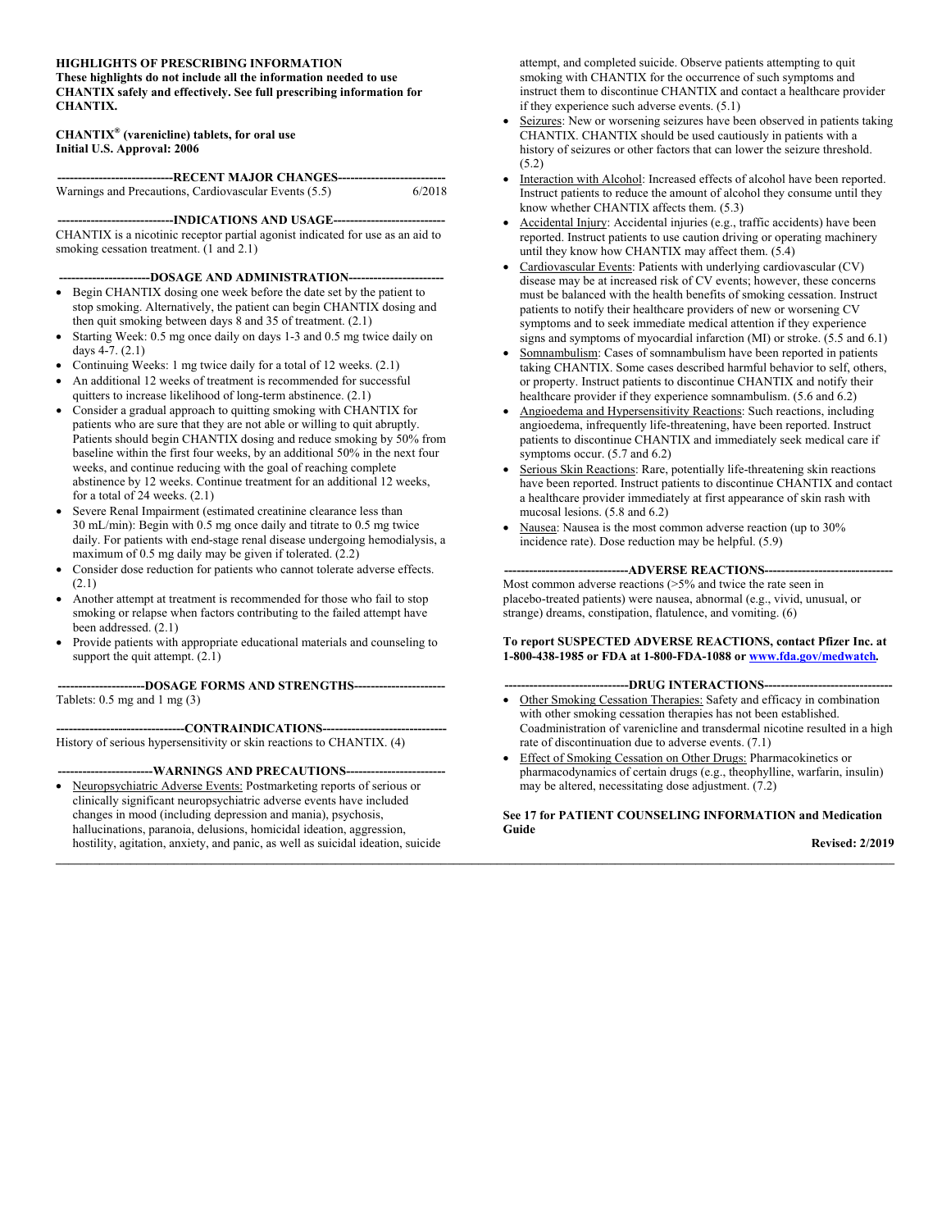### **HIGHLIGHTS OF PRESCRIBING INFORMATION These highlights do not include all the information needed to use**

**CHANTIX safely and effectively. See full prescribing information for CHANTIX.**

## **CHANTIX® (varenicline) tablets, for oral use Initial U.S. Approval: 2006**

| -------------------------------RECENT MAJOR CHANGES----------------------------- |        |
|----------------------------------------------------------------------------------|--------|
| Warnings and Precautions, Cardiovascular Events (5.5)                            | 6/2018 |

**----------------------------INDICATIONS AND USAGE---------------------------** CHANTIX is a nicotinic receptor partial agonist indicated for use as an aid to smoking cessation treatment. (1 and 2.1)

**----------------------DOSAGE AND ADMINISTRATION-----------------------**

- Begin CHANTIX dosing one week before the date set by the patient to stop smoking. Alternatively, the patient can begin CHANTIX dosing and then quit smoking between days 8 and 35 of treatment. (2.1)
- Starting Week: 0.5 mg once daily on days 1-3 and 0.5 mg twice daily on days 4-7. (2.1)
- Continuing Weeks: 1 mg twice daily for a total of 12 weeks. (2.1)
- An additional 12 weeks of treatment is recommended for successful quitters to increase likelihood of long-term abstinence. (2.1)
- Consider a gradual approach to quitting smoking with CHANTIX for patients who are sure that they are not able or willing to quit abruptly. Patients should begin CHANTIX dosing and reduce smoking by 50% from baseline within the first four weeks, by an additional 50% in the next four weeks, and continue reducing with the goal of reaching complete abstinence by 12 weeks. Continue treatment for an additional 12 weeks, for a total of 24 weeks. (2.1)
- Severe Renal Impairment (estimated creatinine clearance less than 30 mL/min): Begin with 0.5 mg once daily and titrate to 0.5 mg twice daily. For patients with end-stage renal disease undergoing hemodialysis, a maximum of 0.5 mg daily may be given if tolerated. (2.2)
- Consider dose reduction for patients who cannot tolerate adverse effects. (2.1)
- Another attempt at treatment is recommended for those who fail to stop smoking or relapse when factors contributing to the failed attempt have been addressed. (2.1)
- Provide patients with appropriate educational materials and counseling to support the quit attempt.  $(2.1)$

**---------------------DOSAGE FORMS AND STRENGTHS----------------------**

Tablets: 0.5 mg and 1 mg (3)

**-------------------------------CONTRAINDICATIONS------------------------------**

History of serious hypersensitivity or skin reactions to CHANTIX. (4)

#### ---WARNINGS AND PRECAUTIONS---

• Neuropsychiatric Adverse Events: Postmarketing reports of serious or clinically significant neuropsychiatric adverse events have included changes in mood (including depression and mania), psychosis, hallucinations, paranoia, delusions, homicidal ideation, aggression, hostility, agitation, anxiety, and panic, as well as suicidal ideation, suicide attempt, and completed suicide. Observe patients attempting to quit smoking with CHANTIX for the occurrence of such symptoms and instruct them to discontinue CHANTIX and contact a healthcare provider if they experience such adverse events. (5.1)

- Seizures: New or worsening seizures have been observed in patients taking CHANTIX. CHANTIX should be used cautiously in patients with a history of seizures or other factors that can lower the seizure threshold. (5.2)
- Interaction with Alcohol: Increased effects of alcohol have been reported. Instruct patients to reduce the amount of alcohol they consume until they know whether CHANTIX affects them. (5.3)
- Accidental Injury: Accidental injuries (e.g., traffic accidents) have been reported. Instruct patients to use caution driving or operating machinery until they know how CHANTIX may affect them. (5.4)
- Cardiovascular Events: Patients with underlying cardiovascular (CV) disease may be at increased risk of CV events; however, these concerns must be balanced with the health benefits of smoking cessation. Instruct patients to notify their healthcare providers of new or worsening CV symptoms and to seek immediate medical attention if they experience signs and symptoms of myocardial infarction (MI) or stroke. (5.5 and 6.1)
- Somnambulism: Cases of somnambulism have been reported in patients taking CHANTIX. Some cases described harmful behavior to self, others, or property. Instruct patients to discontinue CHANTIX and notify their healthcare provider if they experience somnambulism. (5.6 and 6.2)
- Angioedema and Hypersensitivity Reactions: Such reactions, including angioedema, infrequently life-threatening, have been reported. Instruct patients to discontinue CHANTIX and immediately seek medical care if symptoms occur. (5.7 and 6.2)
- Serious Skin Reactions: Rare, potentially life-threatening skin reactions have been reported. Instruct patients to discontinue CHANTIX and contact a healthcare provider immediately at first appearance of skin rash with mucosal lesions. (5.8 and 6.2)
- Nausea: Nausea is the most common adverse reaction (up to 30% incidence rate). Dose reduction may be helpful. (5.9)

### **------------------------------ADVERSE REACTIONS-------------------------------**

Most common adverse reactions (>5% and twice the rate seen in placebo-treated patients) were nausea, abnormal (e.g., vivid, unusual, or strange) dreams, constipation, flatulence, and vomiting. (6)

#### **To report SUSPECTED ADVERSE REACTIONS, contact Pfizer Inc. at 1-800-438-1985 or FDA at 1-800-FDA-1088 o[r www.fda.gov/medwatch](http://www.fda.gov/medwatch)***.*

## **------------------------------DRUG INTERACTIONS-------------------------------**

- Other Smoking Cessation Therapies: Safety and efficacy in combination with other smoking cessation therapies has not been established. Coadministration of varenicline and transdermal nicotine resulted in a high rate of discontinuation due to adverse events. (7.1)
- Effect of Smoking Cessation on Other Drugs: Pharmacokinetics or pharmacodynamics of certain drugs (e.g., theophylline, warfarin, insulin) may be altered, necessitating dose adjustment. (7.2)

## **See 17 for PATIENT COUNSELING INFORMATION and Medication Guide**

**\_\_\_\_\_\_\_\_\_\_\_\_\_\_\_\_\_\_\_\_\_\_\_\_\_\_\_\_\_\_\_\_\_\_\_\_\_\_\_\_\_\_\_\_\_\_\_\_\_\_\_\_\_\_\_\_\_\_\_\_\_\_\_\_\_\_\_\_\_\_\_\_\_\_\_\_\_\_\_\_\_\_\_\_\_\_\_\_\_\_\_\_\_\_\_\_\_\_\_\_\_\_\_\_\_\_\_\_\_\_\_\_\_\_\_\_\_\_\_\_\_\_\_\_\_\_\_\_\_\_\_\_\_\_\_**

**Revised: 2/2019**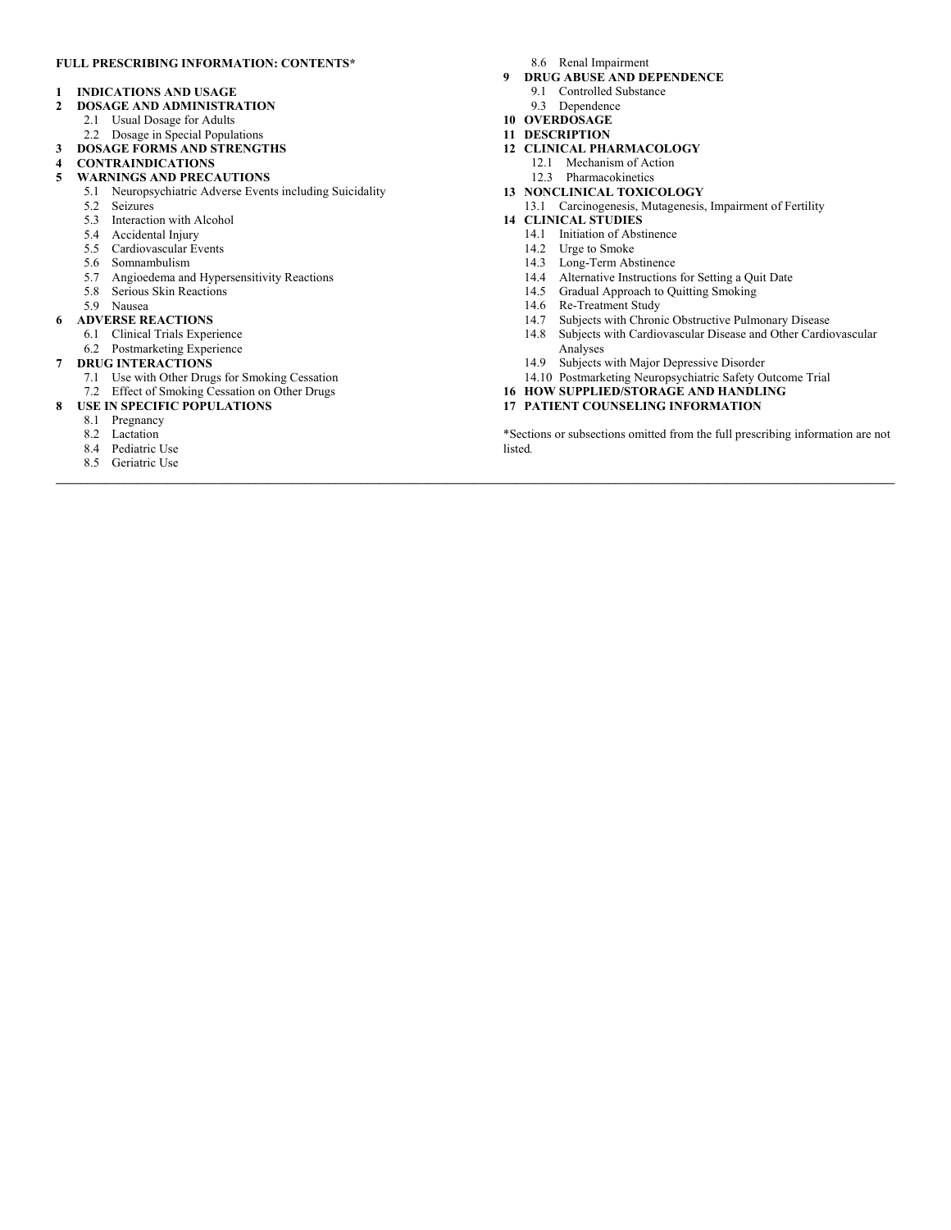## **FULL PRESCRIBING INFORMATION: CONTENTS\***

#### **1 INDICATIONS AND USAGE**

- **2 DOSAGE AND ADMINISTRATION**
	- 2.1 Usual Dosage for Adults
	- 2.2 Dosage in Special Populations
- **3 DOSAGE FORMS AND STRENGTHS**
- **4 CONTRAINDICATIONS**
- **5 WARNINGS AND PRECAUTIONS**
- 5.1 Neuropsychiatric Adverse Events including Suicidality
	- 5.2 Seizures
	- 5.3 Interaction with Alcohol
	- 5.4 Accidental Injury
	- 5.5 Cardiovascular Events
	- 5.6 Somnambulism
	- 5.7 Angioedema and Hypersensitivity Reactions
	- 5.8 Serious Skin Reactions
- 5.9 Nausea
- **6 ADVERSE REACTIONS**
	- 6.1 Clinical Trials Experience
	- 6.2 Postmarketing Experience
- **7 DRUG INTERACTIONS**
	- 7.1 Use with Other Drugs for Smoking Cessation
	- 7.2 Effect of Smoking Cessation on Other Drugs
- **8 USE IN SPECIFIC POPULATIONS**
	- 8.1 Pregnancy
	- 8.2 Lactation
	- 8.4 Pediatric Use
	- 8.5 Geriatric Use
- 8.6 Renal Impairment
- **9 DRUG ABUSE AND DEPENDENCE**
- 9.1 Controlled Substance
	- 9.3 Dependence
- **10 OVERDOSAGE**
- **11 DESCRIPTION**

**\_\_\_\_\_\_\_\_\_\_\_\_\_\_\_\_\_\_\_\_\_\_\_\_\_\_\_\_\_\_\_\_\_\_\_\_\_\_\_\_\_\_\_\_\_\_\_\_\_\_\_\_\_\_\_\_\_\_\_\_\_\_\_\_\_\_\_\_\_\_\_\_\_\_\_\_\_\_\_\_\_\_\_\_\_\_\_\_\_\_\_\_\_\_\_\_\_\_\_\_\_\_\_\_\_\_\_\_\_\_\_\_\_\_\_\_\_\_\_\_\_\_\_\_\_\_\_\_\_\_\_\_\_\_\_**

- **12 CLINICAL PHARMACOLOGY**
	- 12.1 Mechanism of Action 12.3 Pharmacokinetics
- **13 NONCLINICAL TOXICOLOGY**
- 13.1 Carcinogenesis, Mutagenesis, Impairment of Fertility
- **14 CLINICAL STUDIES**
	- 14.1 Initiation of Abstinence
	- 14.2 Urge to Smoke
	- 14.3 Long-Term Abstinence
	- 14.4 Alternative Instructions for Setting a Quit Date
	- 14.5 Gradual Approach to Quitting Smoking
	-
	- 14.6 Re-Treatment Study<br>14.7 Subjects with Chron Subjects with Chronic Obstructive Pulmonary Disease
	- 14.8 Subjects with Cardiovascular Disease and Other Cardiovascular Analyses
	- 14.9 Subjects with Major Depressive Disorder
	- 14.10 Postmarketing Neuropsychiatric Safety Outcome Trial
- **16 HOW SUPPLIED/STORAGE AND HANDLING**
- **17 PATIENT COUNSELING INFORMATION**

\*Sections or subsections omitted from the full prescribing information are not listed*.*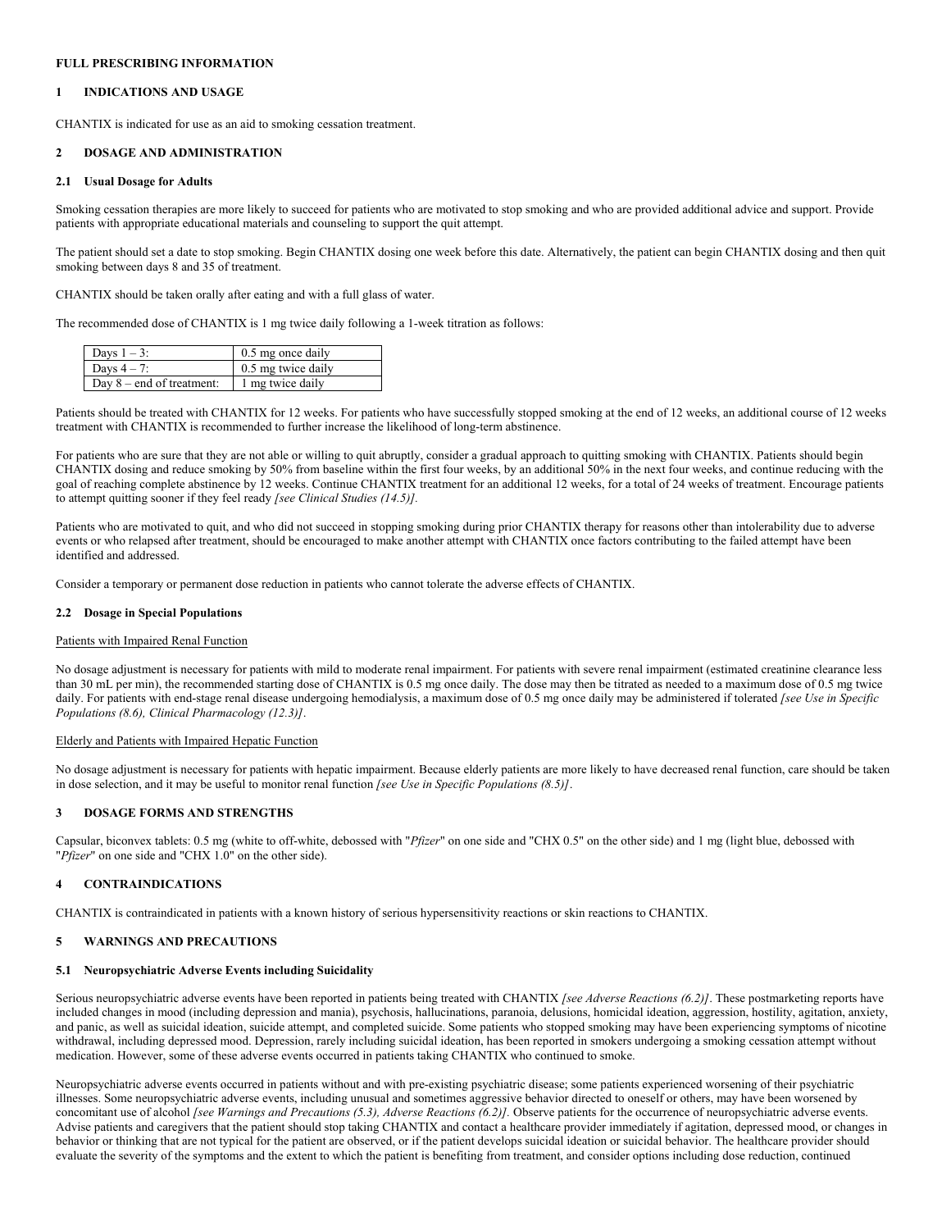### **FULL PRESCRIBING INFORMATION**

## **1 INDICATIONS AND USAGE**

CHANTIX is indicated for use as an aid to smoking cessation treatment.

## **2 DOSAGE AND ADMINISTRATION**

## **2.1 Usual Dosage for Adults**

Smoking cessation therapies are more likely to succeed for patients who are motivated to stop smoking and who are provided additional advice and support. Provide patients with appropriate educational materials and counseling to support the quit attempt.

The patient should set a date to stop smoking. Begin CHANTIX dosing one week before this date. Alternatively, the patient can begin CHANTIX dosing and then quit smoking between days 8 and 35 of treatment.

CHANTIX should be taken orally after eating and with a full glass of water.

The recommended dose of CHANTIX is 1 mg twice daily following a 1-week titration as follows:

| Days $1 - 3$ :              | 0.5 mg once daily  |
|-----------------------------|--------------------|
| Days $4-7$ :                | 0.5 mg twice daily |
| Day $8$ – end of treatment: | 1 mg twice daily   |

Patients should be treated with CHANTIX for 12 weeks. For patients who have successfully stopped smoking at the end of 12 weeks, an additional course of 12 weeks treatment with CHANTIX is recommended to further increase the likelihood of long-term abstinence.

For patients who are sure that they are not able or willing to quit abruptly, consider a gradual approach to quitting smoking with CHANTIX. Patients should begin CHANTIX dosing and reduce smoking by 50% from baseline within the first four weeks, by an additional 50% in the next four weeks, and continue reducing with the goal of reaching complete abstinence by 12 weeks. Continue CHANTIX treatment for an additional 12 weeks, for a total of 24 weeks of treatment. Encourage patients to attempt quitting sooner if they feel ready *[see Clinical Studies (14.5)].*

Patients who are motivated to quit, and who did not succeed in stopping smoking during prior CHANTIX therapy for reasons other than intolerability due to adverse events or who relapsed after treatment, should be encouraged to make another attempt with CHANTIX once factors contributing to the failed attempt have been identified and addressed.

Consider a temporary or permanent dose reduction in patients who cannot tolerate the adverse effects of CHANTIX.

#### **2.2 Dosage in Special Populations**

#### Patients with Impaired Renal Function

No dosage adjustment is necessary for patients with mild to moderate renal impairment. For patients with severe renal impairment (estimated creatinine clearance less than 30 mL per min), the recommended starting dose of CHANTIX is 0.5 mg once daily. The dose may then be titrated as needed to a maximum dose of 0.5 mg twice daily. For patients with end-stage renal disease undergoing hemodialysis, a maximum dose of 0.5 mg once daily may be administered if tolerated *[see Use in Specific Populations (8.6), Clinical Pharmacology (12.3)]*.

## Elderly and Patients with Impaired Hepatic Function

No dosage adjustment is necessary for patients with hepatic impairment. Because elderly patients are more likely to have decreased renal function, care should be taken in dose selection, and it may be useful to monitor renal function *[see Use in Specific Populations (8.5)]*.

## **3 DOSAGE FORMS AND STRENGTHS**

Capsular, biconvex tablets: 0.5 mg (white to off-white, debossed with "*Pfizer*" on one side and "CHX 0.5" on the other side) and 1 mg (light blue, debossed with "*Pfizer*" on one side and "CHX 1.0" on the other side).

#### **4 CONTRAINDICATIONS**

CHANTIX is contraindicated in patients with a known history of serious hypersensitivity reactions or skin reactions to CHANTIX.

#### **5 WARNINGS AND PRECAUTIONS**

#### **5.1 Neuropsychiatric Adverse Events including Suicidality**

Serious neuropsychiatric adverse events have been reported in patients being treated with CHANTIX *[see Adverse Reactions (6.2)]*. These postmarketing reports have included changes in mood (including depression and mania), psychosis, hallucinations, paranoia, delusions, homicidal ideation, aggression, hostility, agitation, anxiety, and panic, as well as suicidal ideation, suicide attempt, and completed suicide. Some patients who stopped smoking may have been experiencing symptoms of nicotine withdrawal, including depressed mood. Depression, rarely including suicidal ideation, has been reported in smokers undergoing a smoking cessation attempt without medication. However, some of these adverse events occurred in patients taking CHANTIX who continued to smoke.

Neuropsychiatric adverse events occurred in patients without and with pre-existing psychiatric disease; some patients experienced worsening of their psychiatric illnesses. Some neuropsychiatric adverse events, including unusual and sometimes aggressive behavior directed to oneself or others, may have been worsened by concomitant use of alcohol *[see Warnings and Precautions (5.3), Adverse Reactions (6.2)].* Observe patients for the occurrence of neuropsychiatric adverse events. Advise patients and caregivers that the patient should stop taking CHANTIX and contact a healthcare provider immediately if agitation, depressed mood, or changes in behavior or thinking that are not typical for the patient are observed, or if the patient develops suicidal ideation or suicidal behavior. The healthcare provider should evaluate the severity of the symptoms and the extent to which the patient is benefiting from treatment, and consider options including dose reduction, continued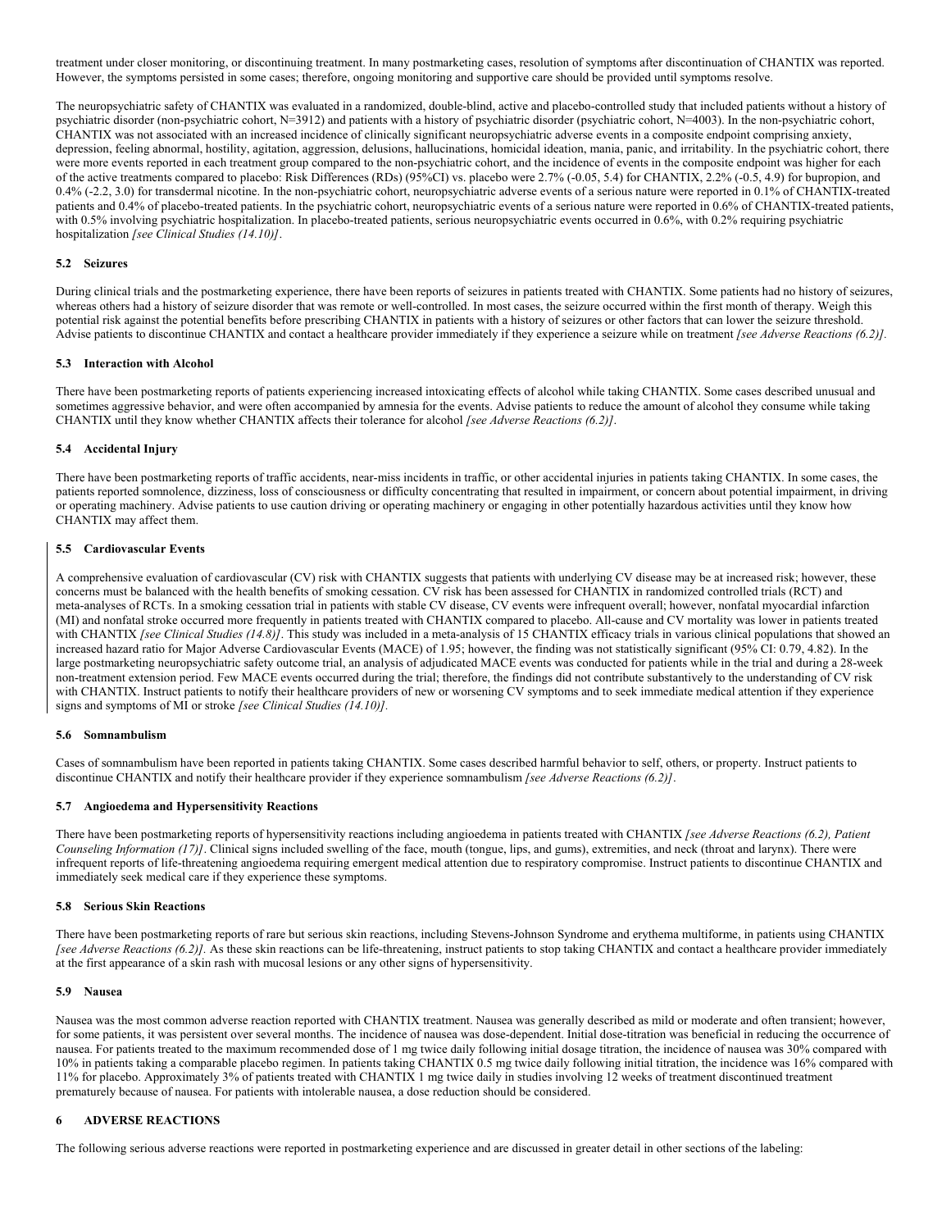treatment under closer monitoring, or discontinuing treatment. In many postmarketing cases, resolution of symptoms after discontinuation of CHANTIX was reported. However, the symptoms persisted in some cases; therefore, ongoing monitoring and supportive care should be provided until symptoms resolve.

The neuropsychiatric safety of CHANTIX was evaluated in a randomized, double-blind, active and placebo-controlled study that included patients without a history of psychiatric disorder (non-psychiatric cohort, N=3912) and patients with a history of psychiatric disorder (psychiatric cohort, N=4003). In the non-psychiatric cohort, CHANTIX was not associated with an increased incidence of clinically significant neuropsychiatric adverse events in a composite endpoint comprising anxiety, depression, feeling abnormal, hostility, agitation, aggression, delusions, hallucinations, homicidal ideation, mania, panic, and irritability. In the psychiatric cohort, there were more events reported in each treatment group compared to the non-psychiatric cohort, and the incidence of events in the composite endpoint was higher for each of the active treatments compared to placebo: Risk Differences (RDs) (95%CI) vs. placebo were 2.7% (-0.05, 5.4) for CHANTIX, 2.2% (-0.5, 4.9) for bupropion, and 0.4% (-2.2, 3.0) for transdermal nicotine. In the non-psychiatric cohort, neuropsychiatric adverse events of a serious nature were reported in 0.1% of CHANTIX-treated patients and 0.4% of placebo-treated patients. In the psychiatric cohort, neuropsychiatric events of a serious nature were reported in 0.6% of CHANTIX-treated patients, with 0.5% involving psychiatric hospitalization. In placebo-treated patients, serious neuropsychiatric events occurred in 0.6%, with 0.2% requiring psychiatric hospitalization *[see Clinical Studies (14.10)]*.

## **5.2 Seizures**

During clinical trials and the postmarketing experience, there have been reports of seizures in patients treated with CHANTIX. Some patients had no history of seizures, whereas others had a history of seizure disorder that was remote or well-controlled. In most cases, the seizure occurred within the first month of therapy. Weigh this potential risk against the potential benefits before prescribing CHANTIX in patients with a history of seizures or other factors that can lower the seizure threshold. Advise patients to discontinue CHANTIX and contact a healthcare provider immediately if they experience a seizure while on treatment *[see Adverse Reactions (6.2)].*

#### **5.3 Interaction with Alcohol**

There have been postmarketing reports of patients experiencing increased intoxicating effects of alcohol while taking CHANTIX. Some cases described unusual and sometimes aggressive behavior, and were often accompanied by amnesia for the events. Advise patients to reduce the amount of alcohol they consume while taking CHANTIX until they know whether CHANTIX affects their tolerance for alcohol *[see Adverse Reactions (6.2)]*.

## **5.4 Accidental Injury**

There have been postmarketing reports of traffic accidents, near-miss incidents in traffic, or other accidental injuries in patients taking CHANTIX. In some cases, the patients reported somnolence, dizziness, loss of consciousness or difficulty concentrating that resulted in impairment, or concern about potential impairment, in driving or operating machinery. Advise patients to use caution driving or operating machinery or engaging in other potentially hazardous activities until they know how CHANTIX may affect them.

#### **5.5 Cardiovascular Events**

A comprehensive evaluation of cardiovascular (CV) risk with CHANTIX suggests that patients with underlying CV disease may be at increased risk; however, these concerns must be balanced with the health benefits of smoking cessation. CV risk has been assessed for CHANTIX in randomized controlled trials (RCT) and meta-analyses of RCTs. In a smoking cessation trial in patients with stable CV disease, CV events were infrequent overall; however, nonfatal myocardial infarction (MI) and nonfatal stroke occurred more frequently in patients treated with CHANTIX compared to placebo. All-cause and CV mortality was lower in patients treated with CHANTIX *[see Clinical Studies (14.8)]*. This study was included in a meta-analysis of 15 CHANTIX efficacy trials in various clinical populations that showed an increased hazard ratio for Major Adverse Cardiovascular Events (MACE) of 1.95; however, the finding was not statistically significant (95% CI: 0.79, 4.82). In the large postmarketing neuropsychiatric safety outcome trial, an analysis of adjudicated MACE events was conducted for patients while in the trial and during a 28-week non-treatment extension period. Few MACE events occurred during the trial; therefore, the findings did not contribute substantively to the understanding of CV risk with CHANTIX. Instruct patients to notify their healthcare providers of new or worsening CV symptoms and to seek immediate medical attention if they experience signs and symptoms of MI or stroke *[see Clinical Studies (14.10)].*

#### **5.6 Somnambulism**

Cases of somnambulism have been reported in patients taking CHANTIX. Some cases described harmful behavior to self, others, or property. Instruct patients to discontinue CHANTIX and notify their healthcare provider if they experience somnambulism *[see Adverse Reactions (6.2)]*.

#### **5.7 Angioedema and Hypersensitivity Reactions**

There have been postmarketing reports of hypersensitivity reactions including angioedema in patients treated with CHANTIX *[see Adverse Reactions (6.2), Patient Counseling Information (17)]*. Clinical signs included swelling of the face, mouth (tongue, lips, and gums), extremities, and neck (throat and larynx). There were infrequent reports of life-threatening angioedema requiring emergent medical attention due to respiratory compromise. Instruct patients to discontinue CHANTIX and immediately seek medical care if they experience these symptoms.

#### **5.8 Serious Skin Reactions**

There have been postmarketing reports of rare but serious skin reactions, including Stevens-Johnson Syndrome and erythema multiforme, in patients using CHANTIX *[see Adverse Reactions (6.2)]*. As these skin reactions can be life-threatening, instruct patients to stop taking CHANTIX and contact a healthcare provider immediately at the first appearance of a skin rash with mucosal lesions or any other signs of hypersensitivity.

### **5.9 Nausea**

Nausea was the most common adverse reaction reported with CHANTIX treatment. Nausea was generally described as mild or moderate and often transient; however, for some patients, it was persistent over several months. The incidence of nausea was dose-dependent. Initial dose-titration was beneficial in reducing the occurrence of nausea. For patients treated to the maximum recommended dose of 1 mg twice daily following initial dosage titration, the incidence of nausea was 30% compared with 10% in patients taking a comparable placebo regimen. In patients taking CHANTIX 0.5 mg twice daily following initial titration, the incidence was 16% compared with 11% for placebo. Approximately 3% of patients treated with CHANTIX 1 mg twice daily in studies involving 12 weeks of treatment discontinued treatment prematurely because of nausea. For patients with intolerable nausea, a dose reduction should be considered.

## **6 ADVERSE REACTIONS**

The following serious adverse reactions were reported in postmarketing experience and are discussed in greater detail in other sections of the labeling: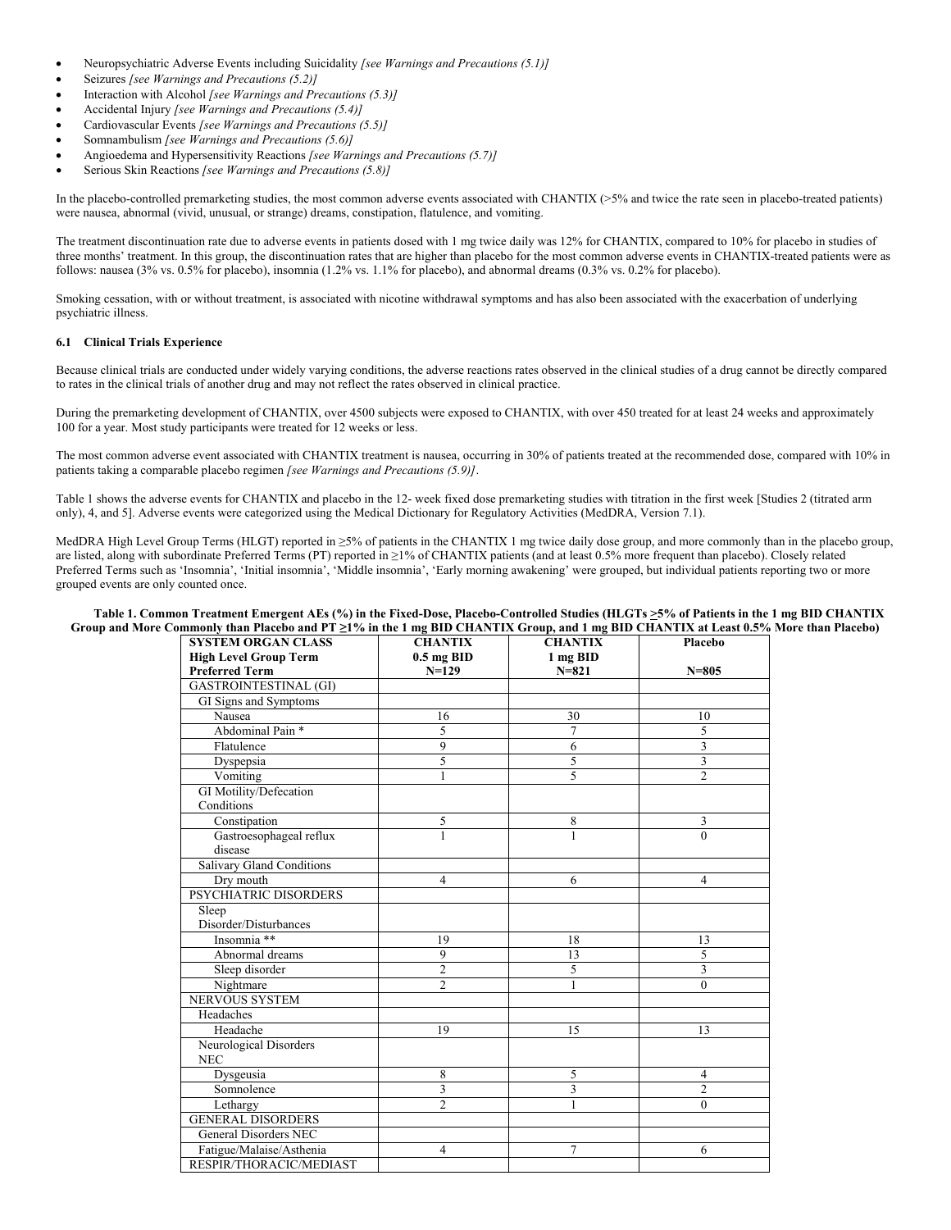- Neuropsychiatric Adverse Events including Suicidality *[see Warnings and Precautions (5.1)]*
- Seizures *[see Warnings and Precautions (5.2)]*
- Interaction with Alcohol *[see Warnings and Precautions (5.3)]*
- Accidental Injury *[see Warnings and Precautions (5.4)]*
- Cardiovascular Events *[see Warnings and Precautions (5.5)]*
- Somnambulism *[see Warnings and Precautions (5.6)]*
- Angioedema and Hypersensitivity Reactions *[see Warnings and Precautions (5.7)]*
- Serious Skin Reactions *[see Warnings and Precautions (5.8)]*

In the placebo-controlled premarketing studies, the most common adverse events associated with CHANTIX (>5% and twice the rate seen in placebo-treated patients) were nausea, abnormal (vivid, unusual, or strange) dreams, constipation, flatulence, and vomiting.

The treatment discontinuation rate due to adverse events in patients dosed with 1 mg twice daily was 12% for CHANTIX, compared to 10% for placebo in studies of three months' treatment. In this group, the discontinuation rates that are higher than placebo for the most common adverse events in CHANTIX-treated patients were as follows: nausea (3% vs. 0.5% for placebo), insomnia (1.2% vs. 1.1% for placebo), and abnormal dreams (0.3% vs. 0.2% for placebo).

Smoking cessation, with or without treatment, is associated with nicotine withdrawal symptoms and has also been associated with the exacerbation of underlying psychiatric illness.

## **6.1 Clinical Trials Experience**

Because clinical trials are conducted under widely varying conditions, the adverse reactions rates observed in the clinical studies of a drug cannot be directly compared to rates in the clinical trials of another drug and may not reflect the rates observed in clinical practice.

During the premarketing development of CHANTIX, over 4500 subjects were exposed to CHANTIX, with over 450 treated for at least 24 weeks and approximately 100 for a year. Most study participants were treated for 12 weeks or less.

The most common adverse event associated with CHANTIX treatment is nausea, occurring in 30% of patients treated at the recommended dose, compared with 10% in patients taking a comparable placebo regimen *[see Warnings and Precautions (5.9)]*.

Table 1 shows the adverse events for CHANTIX and placebo in the 12- week fixed dose premarketing studies with titration in the first week [Studies 2 (titrated arm only), 4, and 5]. Adverse events were categorized using the Medical Dictionary for Regulatory Activities (MedDRA, Version 7.1).

MedDRA High Level Group Terms (HLGT) reported in ≥5% of patients in the CHANTIX 1 mg twice daily dose group, and more commonly than in the placebo group, are listed, along with subordinate Preferred Terms (PT) reported in ≥1% of CHANTIX patients (and at least 0.5% more frequent than placebo). Closely related Preferred Terms such as 'Insomnia', 'Initial insomnia', 'Middle insomnia', 'Early morning awakening' were grouped, but individual patients reporting two or more grouped events are only counted once.

## Table 1. Common Treatment Emergent AEs (%) in the Fixed-Dose, Placebo-Controlled Studies (HLGTs  $\geq$ 5% of Patients in the 1 mg BID CHANTIX **Group and More Commonly than Placebo and PT ≥1% in the 1 mg BID CHANTIX Group, and 1 mg BID CHANTIX at Least 0.5% More than Placebo)**

| <b>SYSTEM ORGAN CLASS</b>        | <b>CHANTIX</b> | <b>CHANTIX</b> | Placebo        |
|----------------------------------|----------------|----------------|----------------|
| <b>High Level Group Term</b>     | $0.5$ mg BID   | 1 mg BID       |                |
| <b>Preferred Term</b>            | $N=129$        | $N = 821$      | $N = 805$      |
| <b>GASTROINTESTINAL (GI)</b>     |                |                |                |
| GI Signs and Symptoms            |                |                |                |
| Nausea                           | 16             | 30             | 10             |
| Abdominal Pain <sup>*</sup>      | 5              | 7              | 5              |
| Flatulence                       | 9              | 6              | 3              |
| Dyspepsia                        | 5              | 5              | $\overline{3}$ |
| Vomiting                         | 1              | 5              | $\overline{c}$ |
| GI Motility/Defecation           |                |                |                |
| Conditions                       |                |                |                |
| Constipation                     | 5              | 8              | 3              |
| Gastroesophageal reflux          | $\mathbf{1}$   | $\mathbf{1}$   | $\theta$       |
| disease                          |                |                |                |
| <b>Salivary Gland Conditions</b> |                |                |                |
| Dry mouth                        | $\overline{4}$ | 6              | 4              |
| PSYCHIATRIC DISORDERS            |                |                |                |
| Sleep                            |                |                |                |
| Disorder/Disturbances            |                |                |                |
| Insomnia **                      | 19             | 18             | 13             |
| Abnormal dreams                  | 9              | 13             | 5              |
| Sleep disorder                   | $\overline{2}$ | 5              | $\overline{3}$ |
| Nightmare                        | $\mathfrak{D}$ | 1              | $\theta$       |
| <b>NERVOUS SYSTEM</b>            |                |                |                |
| Headaches                        |                |                |                |
| Headache                         | 19             | 15             | 13             |
| Neurological Disorders           |                |                |                |
| <b>NEC</b>                       |                |                |                |
| Dysgeusia                        | 8              | 5              | $\overline{4}$ |
| Somnolence                       | 3              | 3              | 2              |
| Lethargy                         | $\overline{c}$ | 1              | $\theta$       |
| <b>GENERAL DISORDERS</b>         |                |                |                |
| General Disorders NEC            |                |                |                |
| Fatigue/Malaise/Asthenia         | 4              | 7              | 6              |
| RESPIR/THORACIC/MEDIAST          |                |                |                |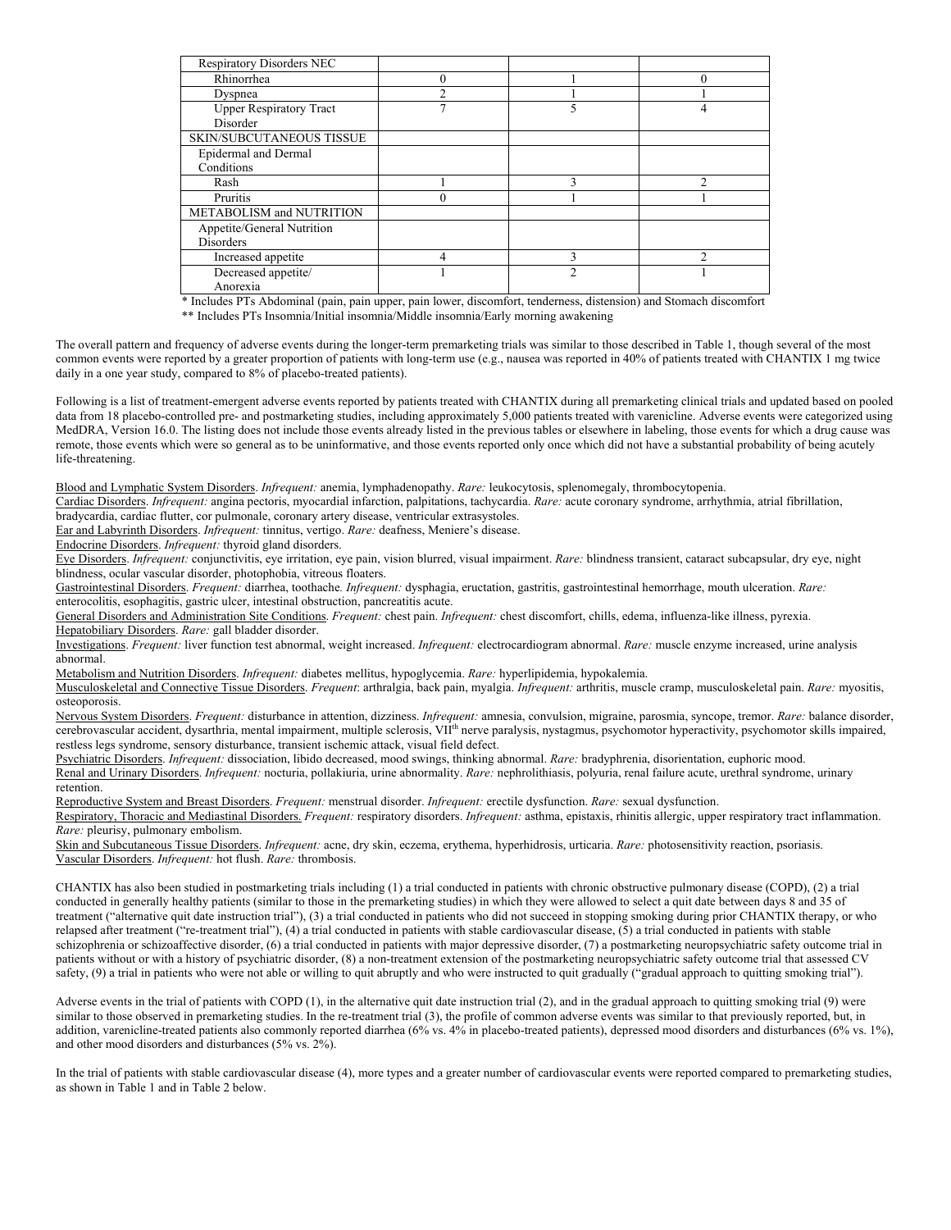| <b>Respiratory Disorders NEC</b> |   |   |  |
|----------------------------------|---|---|--|
| Rhinorrhea                       | 0 |   |  |
| Dyspnea                          |   |   |  |
| <b>Upper Respiratory Tract</b>   |   |   |  |
| <b>Disorder</b>                  |   |   |  |
| <b>SKIN/SUBCUTANEOUS TISSUE</b>  |   |   |  |
| Epidermal and Dermal             |   |   |  |
| Conditions                       |   |   |  |
| Rash                             |   |   |  |
| Pruritis                         |   |   |  |
| METABOLISM and NUTRITION         |   |   |  |
| Appetite/General Nutrition       |   |   |  |
| <b>Disorders</b>                 |   |   |  |
| Increased appetite               |   | n |  |
| Decreased appetite/              |   | っ |  |
| Anorexia                         |   |   |  |

\* Includes PTs Abdominal (pain, pain upper, pain lower, discomfort, tenderness, distension) and Stomach discomfort

\*\* Includes PTs Insomnia/Initial insomnia/Middle insomnia/Early morning awakening

The overall pattern and frequency of adverse events during the longer-term premarketing trials was similar to those described in Table 1, though several of the most common events were reported by a greater proportion of patients with long-term use (e.g., nausea was reported in 40% of patients treated with CHANTIX 1 mg twice daily in a one year study, compared to 8% of placebo-treated patients).

Following is a list of treatment-emergent adverse events reported by patients treated with CHANTIX during all premarketing clinical trials and updated based on pooled data from 18 placebo-controlled pre- and postmarketing studies, including approximately 5,000 patients treated with varenicline. Adverse events were categorized using MedDRA, Version 16.0. The listing does not include those events already listed in the previous tables or elsewhere in labeling, those events for which a drug cause was remote, those events which were so general as to be uninformative, and those events reported only once which did not have a substantial probability of being acutely life-threatening.

Blood and Lymphatic System Disorders. *Infrequent:* anemia, lymphadenopathy. *Rare:* leukocytosis, splenomegaly, thrombocytopenia.

Cardiac Disorders. *Infrequent:* angina pectoris, myocardial infarction, palpitations, tachycardia. *Rare:* acute coronary syndrome, arrhythmia, atrial fibrillation,

bradycardia, cardiac flutter, cor pulmonale, coronary artery disease, ventricular extrasystoles.

Ear and Labyrinth Disorders. *Infrequent:* tinnitus, vertigo. *Rare:* deafness, Meniere's disease.

Endocrine Disorders. *Infrequent:* thyroid gland disorders.

Eye Disorders. *Infrequent:* conjunctivitis, eye irritation, eye pain, vision blurred, visual impairment. *Rare:* blindness transient, cataract subcapsular, dry eye, night blindness, ocular vascular disorder, photophobia, vitreous floaters.

Gastrointestinal Disorders. *Frequent:* diarrhea, toothache*. Infrequent:* dysphagia, eructation, gastritis, gastrointestinal hemorrhage, mouth ulceration. *Rare:* enterocolitis, esophagitis, gastric ulcer, intestinal obstruction, pancreatitis acute.

General Disorders and Administration Site Conditions. *Frequent:* chest pain. *Infrequent:* chest discomfort, chills, edema, influenza-like illness, pyrexia. Hepatobiliary Disorders. *Rare:* gall bladder disorder.

Investigations. *Frequent:* liver function test abnormal, weight increased. *Infrequent:* electrocardiogram abnormal. *Rare:* muscle enzyme increased, urine analysis abnormal.

Metabolism and Nutrition Disorders. *Infrequent:* diabetes mellitus, hypoglycemia. *Rare:* hyperlipidemia, hypokalemia.

Musculoskeletal and Connective Tissue Disorders. *Frequent*: arthralgia, back pain, myalgia. *Infrequent:* arthritis, muscle cramp, musculoskeletal pain. *Rare:* myositis, osteoporosis.

Nervous System Disorders. *Frequent:* disturbance in attention, dizziness. *Infrequent:* amnesia, convulsion, migraine, parosmia, syncope, tremor. *Rare:* balance disorder, cerebrovascular accident, dysarthria, mental impairment, multiple sclerosis, VII<sup>th</sup> nerve paralysis, nystagmus, psychomotor hyperactivity, psychomotor skills impaired, restless legs syndrome, sensory disturbance, transient ischemic attack, visual field defect.

Psychiatric Disorders. *Infrequent:* dissociation, libido decreased, mood swings, thinking abnormal. *Rare:* bradyphrenia, disorientation, euphoric mood.

Renal and Urinary Disorders. *Infrequent:* nocturia, pollakiuria, urine abnormality. *Rare:* nephrolithiasis, polyuria, renal failure acute, urethral syndrome, urinary retention.

Reproductive System and Breast Disorders. *Frequent:* menstrual disorder. *Infrequent:* erectile dysfunction. *Rare:* sexual dysfunction.

Respiratory, Thoracic and Mediastinal Disorders. *Frequent:* respiratory disorders. *Infrequent:* asthma, epistaxis, rhinitis allergic, upper respiratory tract inflammation. *Rare:* pleurisy, pulmonary embolism.

Skin and Subcutaneous Tissue Disorders. *Infrequent:* acne, dry skin, eczema, erythema, hyperhidrosis, urticaria. *Rare:* photosensitivity reaction, psoriasis. Vascular Disorders. *Infrequent:* hot flush. *Rare:* thrombosis.

CHANTIX has also been studied in postmarketing trials including (1) a trial conducted in patients with chronic obstructive pulmonary disease (COPD), (2) a trial conducted in generally healthy patients (similar to those in the premarketing studies) in which they were allowed to select a quit date between days 8 and 35 of treatment ("alternative quit date instruction trial"), (3) a trial conducted in patients who did not succeed in stopping smoking during prior CHANTIX therapy, or who relapsed after treatment ("re-treatment trial"), (4) a trial conducted in patients with stable cardiovascular disease, (5) a trial conducted in patients with stable schizophrenia or schizoaffective disorder, (6) a trial conducted in patients with major depressive disorder, (7) a postmarketing neuropsychiatric safety outcome trial in patients without or with a history of psychiatric disorder, (8) a non-treatment extension of the postmarketing neuropsychiatric safety outcome trial that assessed CV safety, (9) a trial in patients who were not able or willing to quit abruptly and who were instructed to quit gradually ("gradual approach to quitting smoking trial").

Adverse events in the trial of patients with COPD (1), in the alternative quit date instruction trial (2), and in the gradual approach to quitting smoking trial (9) were similar to those observed in premarketing studies. In the re-treatment trial (3), the profile of common adverse events was similar to that previously reported, but, in addition, varenicline-treated patients also commonly reported diarrhea (6% vs. 4% in placebo-treated patients), depressed mood disorders and disturbances (6% vs. 1%), and other mood disorders and disturbances (5% vs. 2%).

In the trial of patients with stable cardiovascular disease (4), more types and a greater number of cardiovascular events were reported compared to premarketing studies, as shown in Table 1 and in Table 2 below.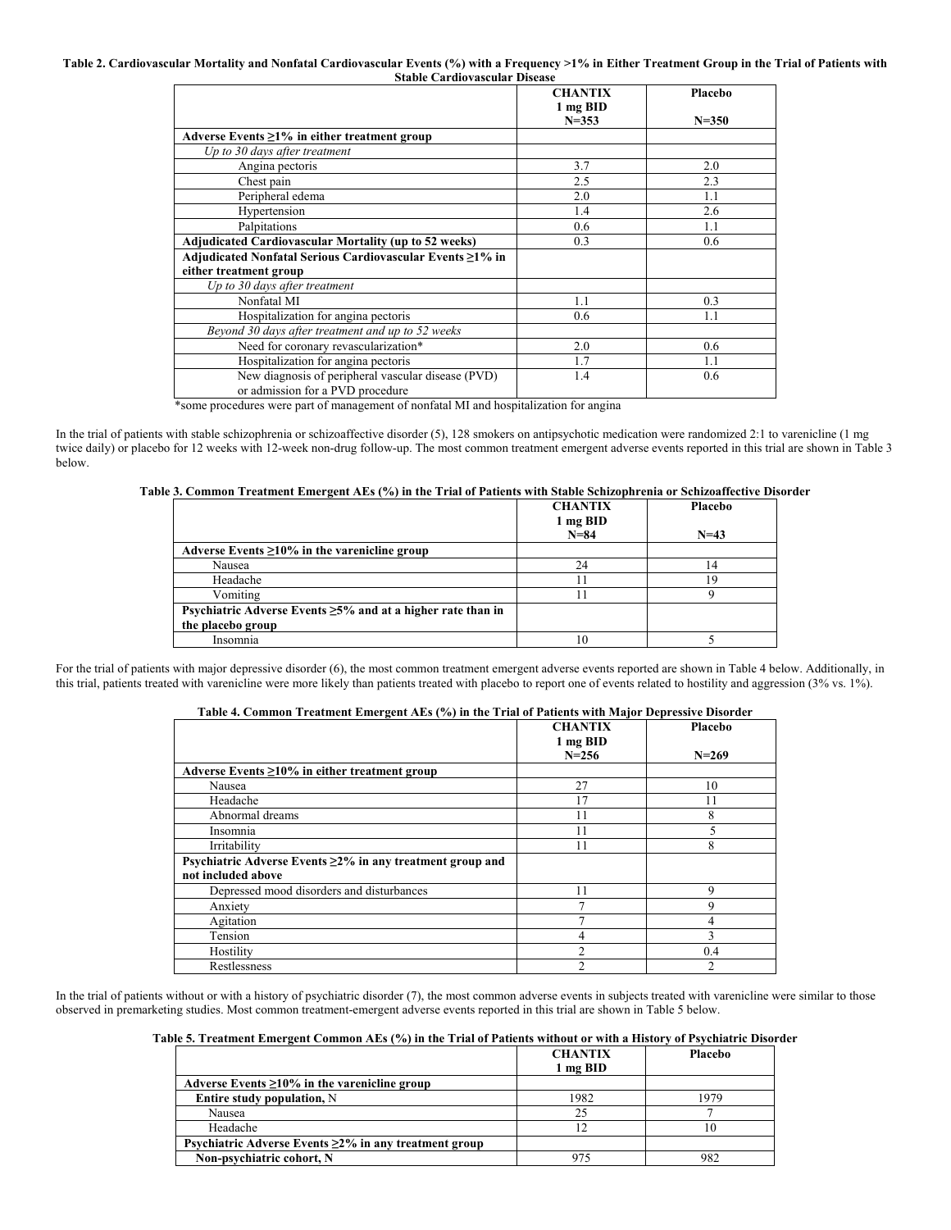#### **Table 2. Cardiovascular Mortality and Nonfatal Cardiovascular Events (%) with a Frequency >1% in Either Treatment Group in the Trial of Patients with Stable Cardiovascular Disease**

|                                                                                        | <b>CHANTIX</b><br>1 mg BID | Placebo   |
|----------------------------------------------------------------------------------------|----------------------------|-----------|
|                                                                                        | $N = 353$                  | $N = 350$ |
| Adverse Events $\geq$ 1% in either treatment group                                     |                            |           |
| Up to 30 days after treatment                                                          |                            |           |
| Angina pectoris                                                                        | 3.7                        | 2.0       |
| Chest pain                                                                             | 2.5                        | 2.3       |
| Peripheral edema                                                                       | 2.0                        | 1.1       |
| Hypertension                                                                           | 1.4                        | 2.6       |
| Palpitations                                                                           | $0.6^{\circ}$              | 1.1       |
| Adjudicated Cardiovascular Mortality (up to 52 weeks)                                  | 0.3                        | 0.6       |
| Adjudicated Nonfatal Serious Cardiovascular Events ≥1% in                              |                            |           |
| either treatment group                                                                 |                            |           |
| Up to 30 days after treatment                                                          |                            |           |
| Nonfatal MI                                                                            | 1.1                        | 0.3       |
| Hospitalization for angina pectoris                                                    | 0.6                        | 1.1       |
| Beyond 30 days after treatment and up to 52 weeks                                      |                            |           |
| Need for coronary revascularization*                                                   | 2.0                        | 0.6       |
| Hospitalization for angina pectoris                                                    | 1.7                        | 1.1       |
| New diagnosis of peripheral vascular disease (PVD)<br>or admission for a PVD procedure | 1.4                        | 0.6       |

\*some procedures were part of management of nonfatal MI and hospitalization for angina

In the trial of patients with stable schizophrenia or schizoaffective disorder (5), 128 smokers on antipsychotic medication were randomized 2:1 to varenicline (1 mg twice daily) or placebo for 12 weeks with 12-week non-drug follow-up. The most common treatment emergent adverse events reported in this trial are shown in Table 3 below.

## **Table 3. Common Treatment Emergent AEs (%) in the Trial of Patients with Stable Schizophrenia or Schizoaffective Disorder**

|                                                                   | <b>CHANTIX</b> | Placebo |
|-------------------------------------------------------------------|----------------|---------|
|                                                                   | 1 mg BID       |         |
|                                                                   | $N = 84$       | $N=43$  |
| Adverse Events $\geq 10\%$ in the varenicline group               |                |         |
| Nausea                                                            | 24             | 14      |
| Headache                                                          |                | 19      |
| Vomiting                                                          |                |         |
| Psychiatric Adverse Events $\geq$ 5% and at a higher rate than in |                |         |
| the placebo group                                                 |                |         |
| Insomnia                                                          |                |         |

For the trial of patients with major depressive disorder (6), the most common treatment emergent adverse events reported are shown in Table 4 below. Additionally, in this trial, patients treated with varenicline were more likely than patients treated with placebo to report one of events related to hostility and aggression (3% vs. 1%).

## **Table 4. Common Treatment Emergent AEs (%) in the Trial of Patients with Major Depressive Disorder**

|                                                                 | <b>CHANTIX</b> | Placebo   |
|-----------------------------------------------------------------|----------------|-----------|
|                                                                 | 1 mg BID       |           |
|                                                                 | $N = 256$      | $N = 269$ |
| Adverse Events $\geq 10\%$ in either treatment group            |                |           |
| Nausea                                                          | 27             | 10        |
| Headache                                                        | 17             | 11        |
| Abnormal dreams                                                 | 11             | 8         |
| Insomnia                                                        |                |           |
| Irritability                                                    |                | 8         |
| Psychiatric Adverse Events $\geq$ 2% in any treatment group and |                |           |
| not included above                                              |                |           |
| Depressed mood disorders and disturbances                       | 11             | 9         |
| Anxiety                                                         |                | 9         |
| Agitation                                                       |                | 4         |
| Tension                                                         | 4              |           |
| Hostility                                                       |                | 0.4       |
| Restlessness                                                    |                |           |

In the trial of patients without or with a history of psychiatric disorder (7), the most common adverse events in subjects treated with varenicline were similar to those observed in premarketing studies. Most common treatment-emergent adverse events reported in this trial are shown in Table 5 below.

|  |  | Table 5. Treatment Emergent Common AEs (%) in the Trial of Patients without or with a History of Psychiatric Disorder |  |  |
|--|--|-----------------------------------------------------------------------------------------------------------------------|--|--|
|--|--|-----------------------------------------------------------------------------------------------------------------------|--|--|

|                                                             | <b>CHANTIX</b>  | Placebo |
|-------------------------------------------------------------|-----------------|---------|
|                                                             | 1 mg BID        |         |
| Adverse Events $\geq 10\%$ in the varenicline group         |                 |         |
| <b>Entire study population, N</b>                           | 1982            | 1979    |
| Nausea                                                      | つら              |         |
| Headache                                                    |                 |         |
| Psychiatric Adverse Events $\geq$ 2% in any treatment group |                 |         |
| Non-psychiatric cohort, N                                   | 97 <sup>4</sup> |         |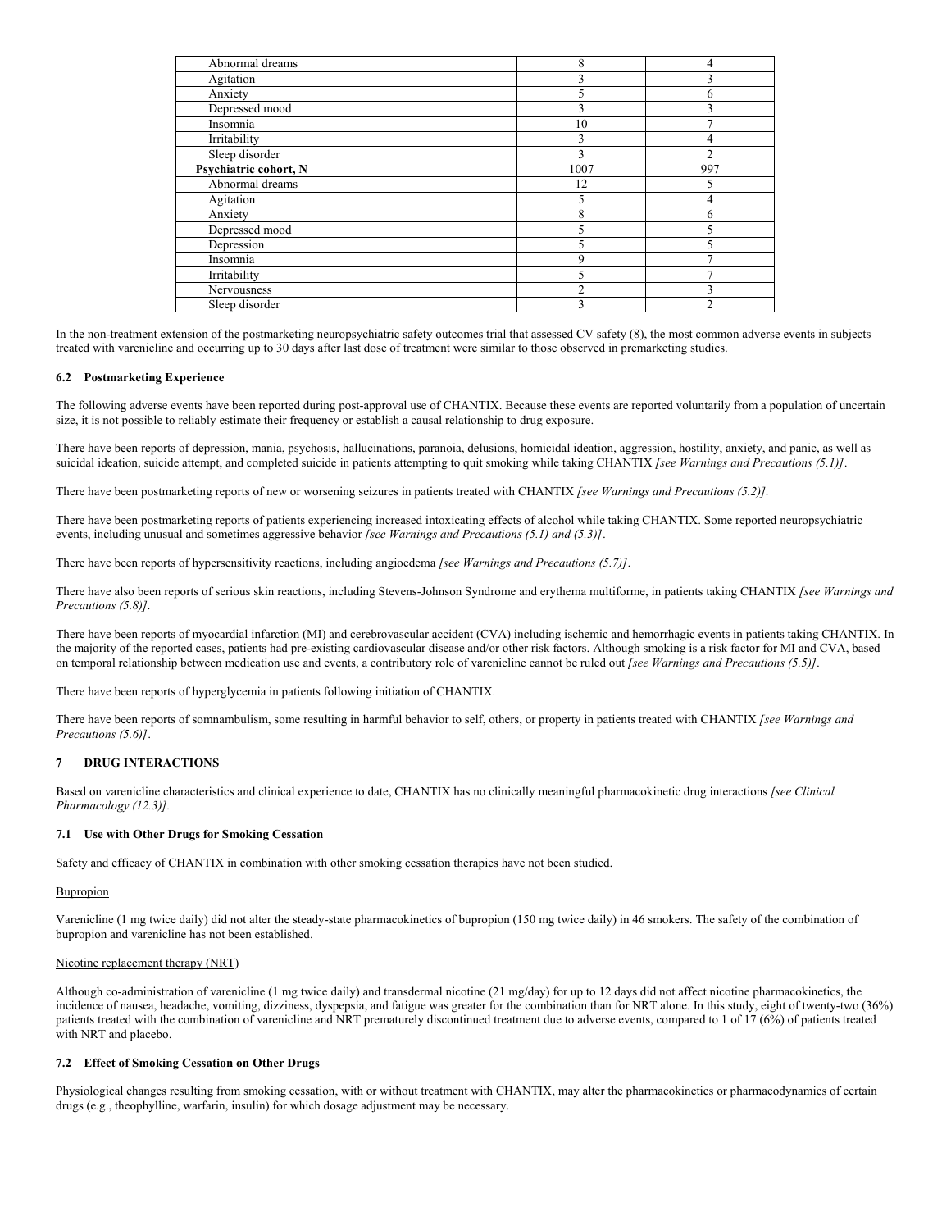| Abnormal dreams       | 8    |     |
|-----------------------|------|-----|
| Agitation             |      |     |
| Anxiety               |      | n   |
| Depressed mood        |      |     |
| Insomnia              | 10   |     |
| Irritability          | 3    |     |
| Sleep disorder        | ٩    | 2   |
| Psychiatric cohort, N | 1007 | 997 |
| Abnormal dreams       | 12   |     |
| Agitation             |      |     |
| Anxiety               | 8    | n   |
| Depressed mood        |      |     |
| Depression            |      |     |
| Insomnia              | q    |     |
| Irritability          |      |     |
| Nervousness           |      |     |
| Sleep disorder        |      |     |

In the non-treatment extension of the postmarketing neuropsychiatric safety outcomes trial that assessed CV safety (8), the most common adverse events in subjects treated with varenicline and occurring up to 30 days after last dose of treatment were similar to those observed in premarketing studies.

## **6.2 Postmarketing Experience**

The following adverse events have been reported during post-approval use of CHANTIX. Because these events are reported voluntarily from a population of uncertain size, it is not possible to reliably estimate their frequency or establish a causal relationship to drug exposure.

There have been reports of depression, mania, psychosis, hallucinations, paranoia, delusions, homicidal ideation, aggression, hostility, anxiety, and panic, as well as suicidal ideation, suicide attempt, and completed suicide in patients attempting to quit smoking while taking CHANTIX *[see Warnings and Precautions (5.1)]*.

There have been postmarketing reports of new or worsening seizures in patients treated with CHANTIX *[see Warnings and Precautions (5.2)].*

There have been postmarketing reports of patients experiencing increased intoxicating effects of alcohol while taking CHANTIX. Some reported neuropsychiatric events, including unusual and sometimes aggressive behavior *[see Warnings and Precautions (5.1) and (5.3)]*.

There have been reports of hypersensitivity reactions, including angioedema *[see Warnings and Precautions (5.7)]*.

There have also been reports of serious skin reactions, including Stevens-Johnson Syndrome and erythema multiforme, in patients taking CHANTIX *[see Warnings and Precautions (5.8)].*

There have been reports of myocardial infarction (MI) and cerebrovascular accident (CVA) including ischemic and hemorrhagic events in patients taking CHANTIX. In the majority of the reported cases, patients had pre-existing cardiovascular disease and/or other risk factors. Although smoking is a risk factor for MI and CVA, based on temporal relationship between medication use and events, a contributory role of varenicline cannot be ruled out *[see Warnings and Precautions (5.5)]*.

There have been reports of hyperglycemia in patients following initiation of CHANTIX.

There have been reports of somnambulism, some resulting in harmful behavior to self, others, or property in patients treated with CHANTIX *[see Warnings and Precautions (5.6)]*.

### **7 DRUG INTERACTIONS**

Based on varenicline characteristics and clinical experience to date, CHANTIX has no clinically meaningful pharmacokinetic drug interactions *[see Clinical Pharmacology (12.3)].*

## **7.1 Use with Other Drugs for Smoking Cessation**

Safety and efficacy of CHANTIX in combination with other smoking cessation therapies have not been studied.

#### Bupropion

Varenicline (1 mg twice daily) did not alter the steady-state pharmacokinetics of bupropion (150 mg twice daily) in 46 smokers. The safety of the combination of bupropion and varenicline has not been established.

## Nicotine replacement therapy (NRT)

Although co-administration of varenicline (1 mg twice daily) and transdermal nicotine (21 mg/day) for up to 12 days did not affect nicotine pharmacokinetics, the incidence of nausea, headache, vomiting, dizziness, dyspepsia, and fatigue was greater for the combination than for NRT alone. In this study, eight of twenty-two (36%) patients treated with the combination of varenicline and NRT prematurely discontinued treatment due to adverse events, compared to 1 of 17 (6%) of patients treated with NRT and placebo.

## **7.2 Effect of Smoking Cessation on Other Drugs**

Physiological changes resulting from smoking cessation, with or without treatment with CHANTIX, may alter the pharmacokinetics or pharmacodynamics of certain drugs (e.g., theophylline, warfarin, insulin) for which dosage adjustment may be necessary.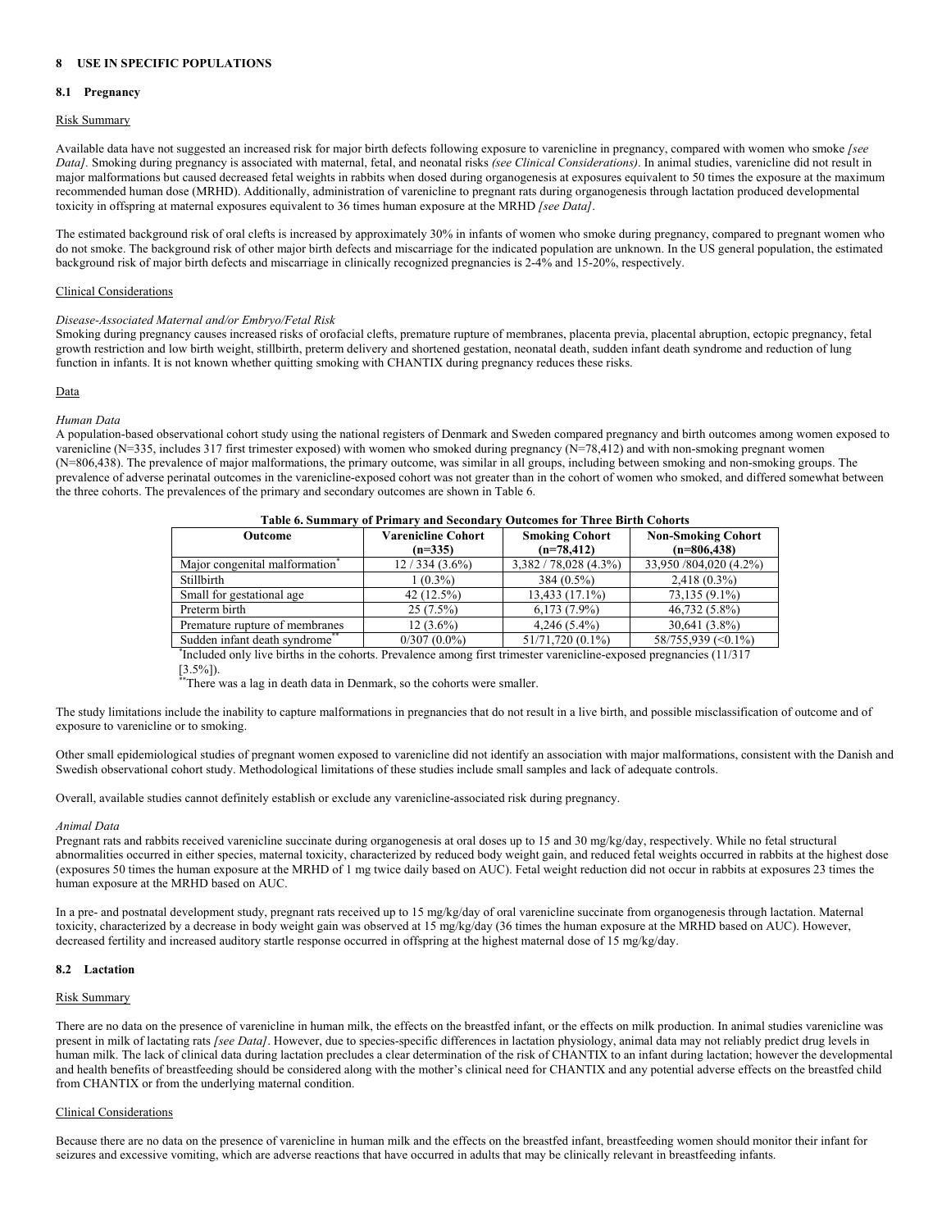## **8 USE IN SPECIFIC POPULATIONS**

### **8.1 Pregnancy**

## Risk Summary

Available data have not suggested an increased risk for major birth defects following exposure to varenicline in pregnancy, compared with women who smoke *[see Data].* Smoking during pregnancy is associated with maternal, fetal, and neonatal risks *(see Clinical Considerations)*. In animal studies, varenicline did not result in major malformations but caused decreased fetal weights in rabbits when dosed during organogenesis at exposures equivalent to 50 times the exposure at the maximum recommended human dose (MRHD). Additionally, administration of varenicline to pregnant rats during organogenesis through lactation produced developmental toxicity in offspring at maternal exposures equivalent to 36 times human exposure at the MRHD *[see Data]*.

The estimated background risk of oral clefts is increased by approximately 30% in infants of women who smoke during pregnancy, compared to pregnant women who do not smoke. The background risk of other major birth defects and miscarriage for the indicated population are unknown. In the US general population, the estimated background risk of major birth defects and miscarriage in clinically recognized pregnancies is 2-4% and 15-20%, respectively.

## Clinical Considerations

#### *Disease-Associated Maternal and/or Embryo/Fetal Risk*

Smoking during pregnancy causes increased risks of orofacial clefts, premature rupture of membranes, placenta previa, placental abruption, ectopic pregnancy, fetal growth restriction and low birth weight, stillbirth, preterm delivery and shortened gestation, neonatal death, sudden infant death syndrome and reduction of lung function in infants. It is not known whether quitting smoking with CHANTIX during pregnancy reduces these risks.

## Data

## *Human Data*

A population-based observational cohort study using the national registers of Denmark and Sweden compared pregnancy and birth outcomes among women exposed to varenicline (N=335, includes 317 first trimester exposed) with women who smoked during pregnancy (N=78,412) and with non-smoking pregnant women (N=806,438). The prevalence of major malformations, the primary outcome, was similar in all groups, including between smoking and non-smoking groups. The prevalence of adverse perinatal outcomes in the varenicline-exposed cohort was not greater than in the cohort of women who smoked, and differed somewhat between the three cohorts. The prevalences of the primary and secondary outcomes are shown in Table 6.

| таріс ў, эдіншаг у от і гішаг у апа эссопааг<br>valvemes for Three Dirah Conorts |                 |                         |                           |  |
|----------------------------------------------------------------------------------|-----------------|-------------------------|---------------------------|--|
| <b>Varenicline Cohort</b><br>Outcome                                             |                 | <b>Smoking Cohort</b>   | <b>Non-Smoking Cohort</b> |  |
|                                                                                  | $(n=335)$       | $(n=78,412)$            | $(n=806, 438)$            |  |
| Major congenital malformation                                                    | $12/334(3.6\%)$ | $3,382 / 78,028$ (4.3%) | 33,950 /804,020 (4.2%)    |  |
| Stillbirth                                                                       | $1(0.3\%)$      | $384(0.5\%)$            | $2,418(0.3\%)$            |  |
| Small for gestational age                                                        | 42 (12.5%)      | 13,433 (17.1%)          | 73,135 (9.1%)             |  |
| Preterm birth                                                                    | $25(7.5\%)$     | $6,173(7.9\%)$          | $46,732(5.8\%)$           |  |
| Premature rupture of membranes                                                   | $12(3.6\%)$     | $4.246(5.4\%)$          | 30,641 (3.8%)             |  |
| Sudden infant death syndrome**                                                   | $0/307(0.0\%)$  | 51/71,720 (0.1%)        | 58/755,939 (< 0.1%)       |  |

## **Table 6. Summary of Primary and Secondary Outcomes for Three Birth Cohorts**

\* Included only live births in the cohorts. Prevalence among first trimester varenicline-exposed pregnancies (11/317  $[3.5\%]$ ).

\*\* There was a lag in death data in Denmark, so the cohorts were smaller.

The study limitations include the inability to capture malformations in pregnancies that do not result in a live birth, and possible misclassification of outcome and of exposure to varenicline or to smoking.

Other small epidemiological studies of pregnant women exposed to varenicline did not identify an association with major malformations, consistent with the Danish and Swedish observational cohort study. Methodological limitations of these studies include small samples and lack of adequate controls.

Overall, available studies cannot definitely establish or exclude any varenicline-associated risk during pregnancy.

#### *Animal Data*

Pregnant rats and rabbits received varenicline succinate during organogenesis at oral doses up to 15 and 30 mg/kg/day, respectively. While no fetal structural abnormalities occurred in either species, maternal toxicity, characterized by reduced body weight gain, and reduced fetal weights occurred in rabbits at the highest dose (exposures 50 times the human exposure at the MRHD of 1 mg twice daily based on AUC). Fetal weight reduction did not occur in rabbits at exposures 23 times the human exposure at the MRHD based on AUC.

In a pre- and postnatal development study, pregnant rats received up to 15 mg/kg/day of oral varenicline succinate from organogenesis through lactation. Maternal toxicity, characterized by a decrease in body weight gain was observed at 15 mg/kg/day (36 times the human exposure at the MRHD based on AUC). However, decreased fertility and increased auditory startle response occurred in offspring at the highest maternal dose of 15 mg/kg/day.

## **8.2 Lactation**

#### Risk Summary

There are no data on the presence of varenicline in human milk, the effects on the breastfed infant, or the effects on milk production. In animal studies varenicline was present in milk of lactating rats *[see Data]*. However, due to species-specific differences in lactation physiology, animal data may not reliably predict drug levels in human milk. The lack of clinical data during lactation precludes a clear determination of the risk of CHANTIX to an infant during lactation; however the developmental and health benefits of breastfeeding should be considered along with the mother's clinical need for CHANTIX and any potential adverse effects on the breastfed child from CHANTIX or from the underlying maternal condition.

## Clinical Considerations

Because there are no data on the presence of varenicline in human milk and the effects on the breastfed infant, breastfeeding women should monitor their infant for seizures and excessive vomiting, which are adverse reactions that have occurred in adults that may be clinically relevant in breastfeeding infants.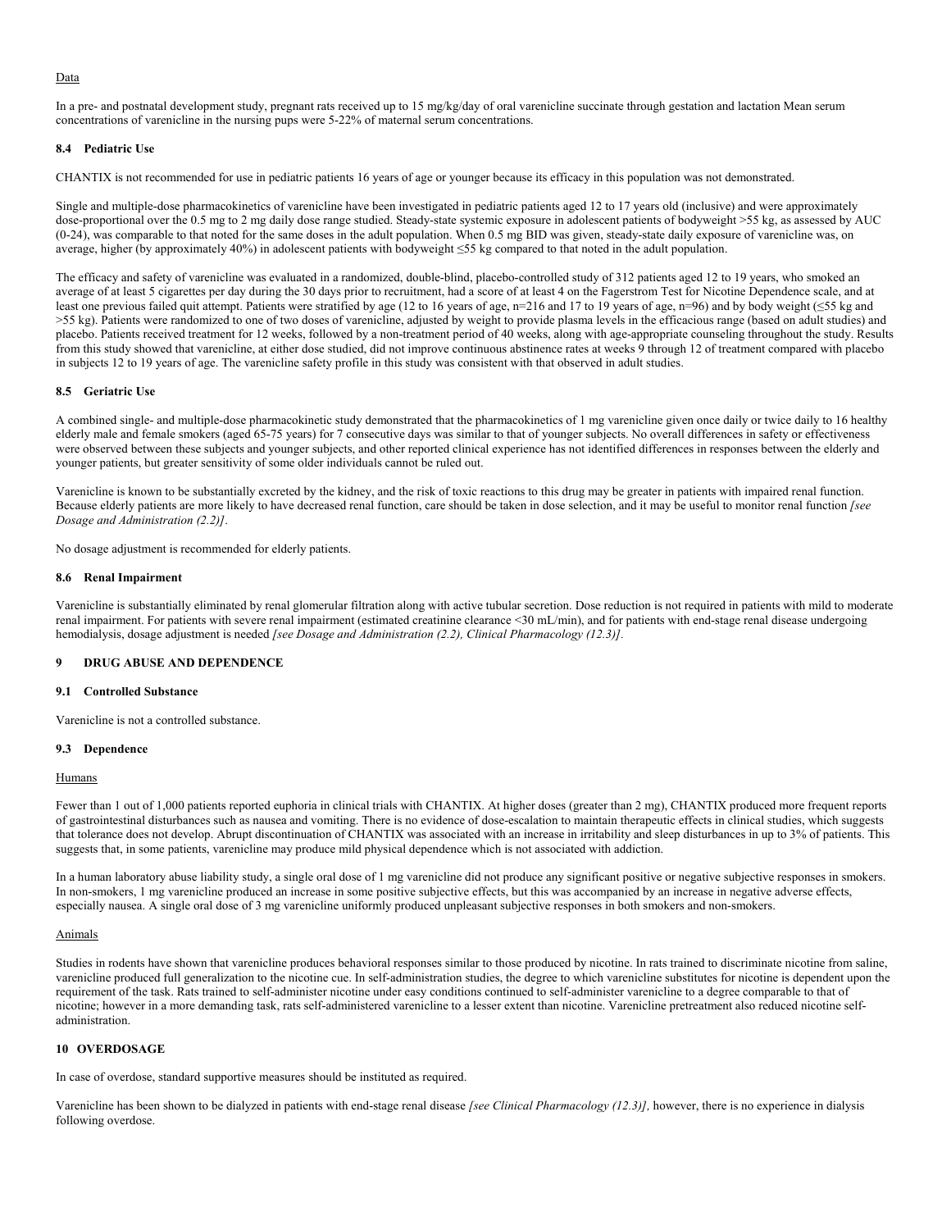#### Data

In a pre- and postnatal development study, pregnant rats received up to 15 mg/kg/day of oral varenicline succinate through gestation and lactation Mean serum concentrations of varenicline in the nursing pups were 5-22% of maternal serum concentrations.

## **8.4 Pediatric Use**

CHANTIX is not recommended for use in pediatric patients 16 years of age or younger because its efficacy in this population was not demonstrated.

Single and multiple-dose pharmacokinetics of varenicline have been investigated in pediatric patients aged 12 to 17 years old (inclusive) and were approximately dose-proportional over the 0.5 mg to 2 mg daily dose range studied. Steady-state systemic exposure in adolescent patients of bodyweight >55 kg, as assessed by AUC (0-24), was comparable to that noted for the same doses in the adult population. When 0.5 mg BID was given, steady-state daily exposure of varenicline was, on average, higher (by approximately 40%) in adolescent patients with bodyweight ≤55 kg compared to that noted in the adult population.

The efficacy and safety of varenicline was evaluated in a randomized, double-blind, placebo-controlled study of 312 patients aged 12 to 19 years, who smoked an average of at least 5 cigarettes per day during the 30 days prior to recruitment, had a score of at least 4 on the Fagerstrom Test for Nicotine Dependence scale, and at least one previous failed quit attempt. Patients were stratified by age (12 to 16 years of age, n=216 and 17 to 19 years of age, n=96) and by body weight (≤55 kg and >55 kg). Patients were randomized to one of two doses of varenicline, adjusted by weight to provide plasma levels in the efficacious range (based on adult studies) and placebo. Patients received treatment for 12 weeks, followed by a non-treatment period of 40 weeks, along with age-appropriate counseling throughout the study. Results from this study showed that varenicline, at either dose studied, did not improve continuous abstinence rates at weeks 9 through 12 of treatment compared with placebo in subjects 12 to 19 years of age. The varenicline safety profile in this study was consistent with that observed in adult studies.

## **8.5 Geriatric Use**

A combined single- and multiple-dose pharmacokinetic study demonstrated that the pharmacokinetics of 1 mg varenicline given once daily or twice daily to 16 healthy elderly male and female smokers (aged 65-75 years) for 7 consecutive days was similar to that of younger subjects. No overall differences in safety or effectiveness were observed between these subjects and younger subjects, and other reported clinical experience has not identified differences in responses between the elderly and younger patients, but greater sensitivity of some older individuals cannot be ruled out.

Varenicline is known to be substantially excreted by the kidney, and the risk of toxic reactions to this drug may be greater in patients with impaired renal function. Because elderly patients are more likely to have decreased renal function, care should be taken in dose selection, and it may be useful to monitor renal function *[see Dosage and Administration (2.2)]*.

No dosage adjustment is recommended for elderly patients.

#### **8.6 Renal Impairment**

Varenicline is substantially eliminated by renal glomerular filtration along with active tubular secretion. Dose reduction is not required in patients with mild to moderate renal impairment. For patients with severe renal impairment (estimated creatinine clearance <30 mL/min), and for patients with end-stage renal disease undergoing hemodialysis, dosage adjustment is needed *[see Dosage and Administration (2.2), Clinical Pharmacology (12.3)].*

#### **9 DRUG ABUSE AND DEPENDENCE**

## **9.1 Controlled Substance**

Varenicline is not a controlled substance.

## **9.3 Dependence**

#### **Humans**

Fewer than 1 out of 1,000 patients reported euphoria in clinical trials with CHANTIX. At higher doses (greater than 2 mg), CHANTIX produced more frequent reports of gastrointestinal disturbances such as nausea and vomiting. There is no evidence of dose-escalation to maintain therapeutic effects in clinical studies, which suggests that tolerance does not develop. Abrupt discontinuation of CHANTIX was associated with an increase in irritability and sleep disturbances in up to 3% of patients. This suggests that, in some patients, varenicline may produce mild physical dependence which is not associated with addiction.

In a human laboratory abuse liability study, a single oral dose of 1 mg varenicline did not produce any significant positive or negative subjective responses in smokers. In non-smokers, 1 mg varenicline produced an increase in some positive subjective effects, but this was accompanied by an increase in negative adverse effects, especially nausea. A single oral dose of 3 mg varenicline uniformly produced unpleasant subjective responses in both smokers and non-smokers.

#### Animals

Studies in rodents have shown that varenicline produces behavioral responses similar to those produced by nicotine. In rats trained to discriminate nicotine from saline, varenicline produced full generalization to the nicotine cue. In self-administration studies, the degree to which varenicline substitutes for nicotine is dependent upon the requirement of the task. Rats trained to self-administer nicotine under easy conditions continued to self-administer varenicline to a degree comparable to that of nicotine; however in a more demanding task, rats self-administered varenicline to a lesser extent than nicotine. Varenicline pretreatment also reduced nicotine selfadministration.

#### **10 OVERDOSAGE**

In case of overdose, standard supportive measures should be instituted as required.

Varenicline has been shown to be dialyzed in patients with end-stage renal disease *[see Clinical Pharmacology (12.3)],* however, there is no experience in dialysis following overdose.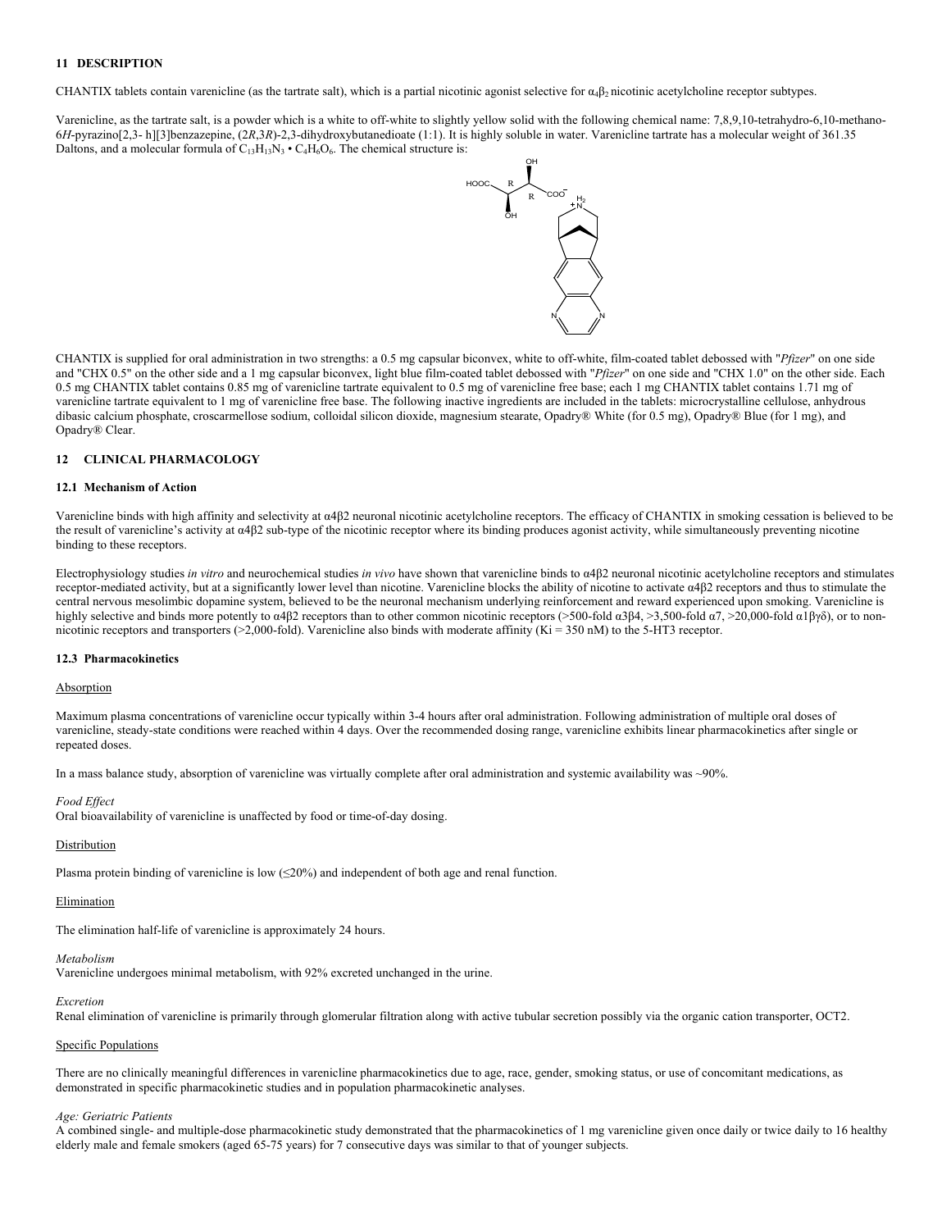## **11 DESCRIPTION**

CHANTIX tablets contain varenicline (as the tartrate salt), which is a partial nicotinic agonist selective for  $\alpha_4\beta_2$  nicotinic acetylcholine receptor subtypes.

Varenicline, as the tartrate salt, is a powder which is a white to off-white to slightly yellow solid with the following chemical name: 7,8,9,10-tetrahydro-6,10-methano-6*H*-pyrazino[2,3- h][3]benzazepine, (2*R*,3*R*)-2,3-dihydroxybutanedioate (1:1). It is highly soluble in water. Varenicline tartrate has a molecular weight of 361.35 Daltons, and a molecular formula of  $C_{13}H_{13}N_3 \cdot C_4H_6O_6$ . The chemical structure is:



CHANTIX is supplied for oral administration in two strengths: a 0.5 mg capsular biconvex, white to off-white, film-coated tablet debossed with "*Pfizer*" on one side and "CHX 0.5" on the other side and a 1 mg capsular biconvex, light blue film-coated tablet debossed with "*Pfizer*" on one side and "CHX 1.0" on the other side. Each 0.5 mg CHANTIX tablet contains 0.85 mg of varenicline tartrate equivalent to 0.5 mg of varenicline free base; each 1 mg CHANTIX tablet contains 1.71 mg of varenicline tartrate equivalent to 1 mg of varenicline free base. The following inactive ingredients are included in the tablets: microcrystalline cellulose, anhydrous dibasic calcium phosphate, croscarmellose sodium, colloidal silicon dioxide, magnesium stearate, Opadry® White (for 0.5 mg), Opadry® Blue (for 1 mg), and Opadry® Clear.

## **12 CLINICAL PHARMACOLOGY**

#### **12.1 Mechanism of Action**

Varenicline binds with high affinity and selectivity at α4β2 neuronal nicotinic acetylcholine receptors. The efficacy of CHANTIX in smoking cessation is believed to be the result of varenicline's activity at α4β2 sub-type of the nicotinic receptor where its binding produces agonist activity, while simultaneously preventing nicotine binding to these receptors.

Electrophysiology studies *in vitro* and neurochemical studies *in vivo* have shown that varenicline binds to α4β2 neuronal nicotinic acetylcholine receptors and stimulates receptor-mediated activity, but at a significantly lower level than nicotine. Varenicline blocks the ability of nicotine to activate α4β2 receptors and thus to stimulate the central nervous mesolimbic dopamine system, believed to be the neuronal mechanism underlying reinforcement and reward experienced upon smoking. Varenicline is highly selective and binds more potently to α4β2 receptors than to other common nicotinic receptors (>500-fold α3β4, >3,500-fold α7, >20,000-fold α1βγδ), or to nonnicotinic receptors and transporters (>2,000-fold). Varenicline also binds with moderate affinity (Ki = 350 nM) to the 5-HT3 receptor.

#### **12.3 Pharmacokinetics**

#### Absorption

Maximum plasma concentrations of varenicline occur typically within 3-4 hours after oral administration. Following administration of multiple oral doses of varenicline, steady-state conditions were reached within 4 days. Over the recommended dosing range, varenicline exhibits linear pharmacokinetics after single or repeated doses.

In a mass balance study, absorption of varenicline was virtually complete after oral administration and systemic availability was ~90%.

#### *Food Effect*

Oral bioavailability of varenicline is unaffected by food or time-of-day dosing.

#### Distribution

Plasma protein binding of varenicline is low  $(\leq 20\%)$  and independent of both age and renal function.

#### Elimination

The elimination half-life of varenicline is approximately 24 hours.

#### *Metabolism*

Varenicline undergoes minimal metabolism, with 92% excreted unchanged in the urine.

#### *Excretion*

Renal elimination of varenicline is primarily through glomerular filtration along with active tubular secretion possibly via the organic cation transporter, OCT2.

#### Specific Populations

There are no clinically meaningful differences in varenicline pharmacokinetics due to age, race, gender, smoking status, or use of concomitant medications, as demonstrated in specific pharmacokinetic studies and in population pharmacokinetic analyses.

## *Age: Geriatric Patients*

A combined single- and multiple-dose pharmacokinetic study demonstrated that the pharmacokinetics of 1 mg varenicline given once daily or twice daily to 16 healthy elderly male and female smokers (aged 65-75 years) for 7 consecutive days was similar to that of younger subjects.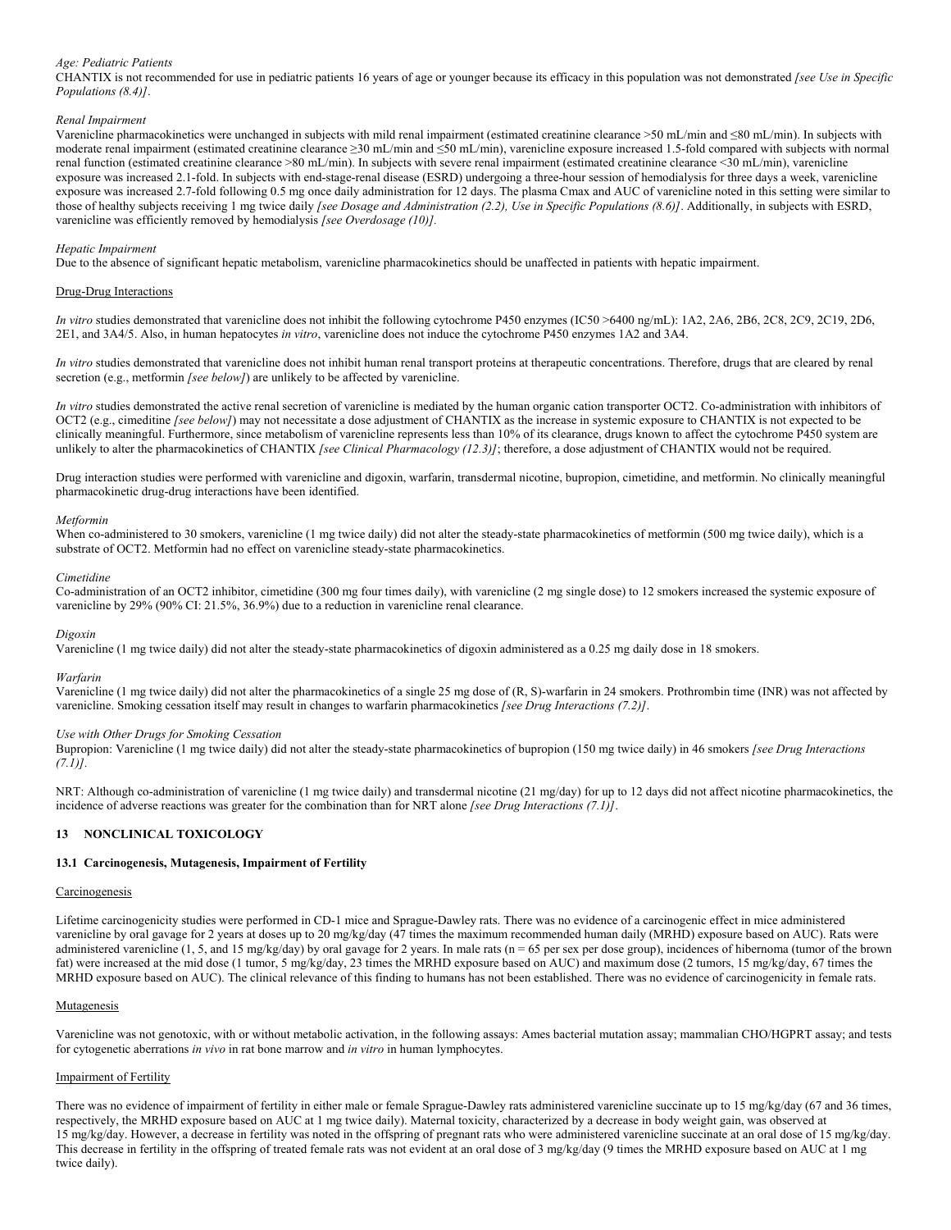## *Age: Pediatric Patients*

CHANTIX is not recommended for use in pediatric patients 16 years of age or younger because its efficacy in this population was not demonstrated *[see Use in Specific Populations (8.4)]*.

## *Renal Impairment*

Varenicline pharmacokinetics were unchanged in subjects with mild renal impairment (estimated creatinine clearance >50 mL/min and ≤80 mL/min). In subjects with moderate renal impairment (estimated creatinine clearance ≥30 mL/min and ≤50 mL/min), varenicline exposure increased 1.5-fold compared with subjects with normal renal function (estimated creatinine clearance >80 mL/min). In subjects with severe renal impairment (estimated creatinine clearance <30 mL/min), varenicline exposure was increased 2.1-fold. In subjects with end-stage-renal disease (ESRD) undergoing a three-hour session of hemodialysis for three days a week, varenicline exposure was increased 2.7-fold following 0.5 mg once daily administration for 12 days. The plasma Cmax and AUC of varenicline noted in this setting were similar to those of healthy subjects receiving 1 mg twice daily *[see Dosage and Administration (2.2), Use in Specific Populations (8.6)]*. Additionally, in subjects with ESRD, varenicline was efficiently removed by hemodialysis *[see Overdosage (10)].*

## *Hepatic Impairment*

Due to the absence of significant hepatic metabolism, varenicline pharmacokinetics should be unaffected in patients with hepatic impairment.

## Drug-Drug Interactions

*In vitro* studies demonstrated that varenicline does not inhibit the following cytochrome P450 enzymes (IC50 >6400 ng/mL): 1A2, 2A6, 2B6, 2C8, 2C9, 2C19, 2D6, 2E1, and 3A4/5. Also, in human hepatocytes *in vitro*, varenicline does not induce the cytochrome P450 enzymes 1A2 and 3A4.

*In vitro* studies demonstrated that varenicline does not inhibit human renal transport proteins at therapeutic concentrations. Therefore, drugs that are cleared by renal secretion (e.g., metformin *[see below]*) are unlikely to be affected by varenicline.

*In vitro* studies demonstrated the active renal secretion of varenicline is mediated by the human organic cation transporter OCT2. Co-administration with inhibitors of OCT2 (e.g., cimeditine *[see below]*) may not necessitate a dose adjustment of CHANTIX as the increase in systemic exposure to CHANTIX is not expected to be clinically meaningful. Furthermore, since metabolism of varenicline represents less than 10% of its clearance, drugs known to affect the cytochrome P450 system are unlikely to alter the pharmacokinetics of CHANTIX *[see Clinical Pharmacology (12.3)]*; therefore, a dose adjustment of CHANTIX would not be required.

Drug interaction studies were performed with varenicline and digoxin, warfarin, transdermal nicotine, bupropion, cimetidine, and metformin. No clinically meaningful pharmacokinetic drug-drug interactions have been identified.

#### *Metformin*

When co-administered to 30 smokers, varenicline (1 mg twice daily) did not alter the steady-state pharmacokinetics of metformin (500 mg twice daily), which is a substrate of OCT2. Metformin had no effect on varenicline steady-state pharmacokinetics.

#### *Cimetidine*

Co-administration of an OCT2 inhibitor, cimetidine (300 mg four times daily), with varenicline (2 mg single dose) to 12 smokers increased the systemic exposure of varenicline by 29% (90% CI: 21.5%, 36.9%) due to a reduction in varenicline renal clearance.

#### *Digoxin*

Varenicline (1 mg twice daily) did not alter the steady-state pharmacokinetics of digoxin administered as a 0.25 mg daily dose in 18 smokers.

#### *Warfarin*

Varenicline (1 mg twice daily) did not alter the pharmacokinetics of a single 25 mg dose of (R, S)-warfarin in 24 smokers. Prothrombin time (INR) was not affected by varenicline. Smoking cessation itself may result in changes to warfarin pharmacokinetics *[see Drug Interactions (7.2)]*.

## *Use with Other Drugs for Smoking Cessation*

Bupropion: Varenicline (1 mg twice daily) did not alter the steady-state pharmacokinetics of bupropion (150 mg twice daily) in 46 smokers *[see Drug Interactions (7.1)].*

NRT: Although co-administration of varenicline (1 mg twice daily) and transdermal nicotine (21 mg/day) for up to 12 days did not affect nicotine pharmacokinetics, the incidence of adverse reactions was greater for the combination than for NRT alone *[see Drug Interactions (7.1)]*.

## **13 NONCLINICAL TOXICOLOGY**

#### **13.1 Carcinogenesis, Mutagenesis, Impairment of Fertility**

#### Carcinogenesis

Lifetime carcinogenicity studies were performed in CD-1 mice and Sprague-Dawley rats. There was no evidence of a carcinogenic effect in mice administered varenicline by oral gavage for 2 years at doses up to 20 mg/kg/day (47 times the maximum recommended human daily (MRHD) exposure based on AUC). Rats were administered varenicline (1, 5, and 15 mg/kg/day) by oral gavage for 2 years. In male rats (n = 65 per sex per dose group), incidences of hibernoma (tumor of the brown fat) were increased at the mid dose (1 tumor, 5 mg/kg/day, 23 times the MRHD exposure based on AUC) and maximum dose (2 tumors, 15 mg/kg/day, 67 times the MRHD exposure based on AUC). The clinical relevance of this finding to humans has not been established. There was no evidence of carcinogenicity in female rats.

#### **Mutagenesis**

Varenicline was not genotoxic, with or without metabolic activation, in the following assays: Ames bacterial mutation assay; mammalian CHO/HGPRT assay; and tests for cytogenetic aberrations *in vivo* in rat bone marrow and *in vitro* in human lymphocytes.

#### Impairment of Fertility

There was no evidence of impairment of fertility in either male or female Sprague-Dawley rats administered varenicline succinate up to 15 mg/kg/day (67 and 36 times, respectively, the MRHD exposure based on AUC at 1 mg twice daily). Maternal toxicity, characterized by a decrease in body weight gain, was observed at 15 mg/kg/day. However, a decrease in fertility was noted in the offspring of pregnant rats who were administered varenicline succinate at an oral dose of 15 mg/kg/day. This decrease in fertility in the offspring of treated female rats was not evident at an oral dose of 3 mg/kg/day (9 times the MRHD exposure based on AUC at 1 mg twice daily).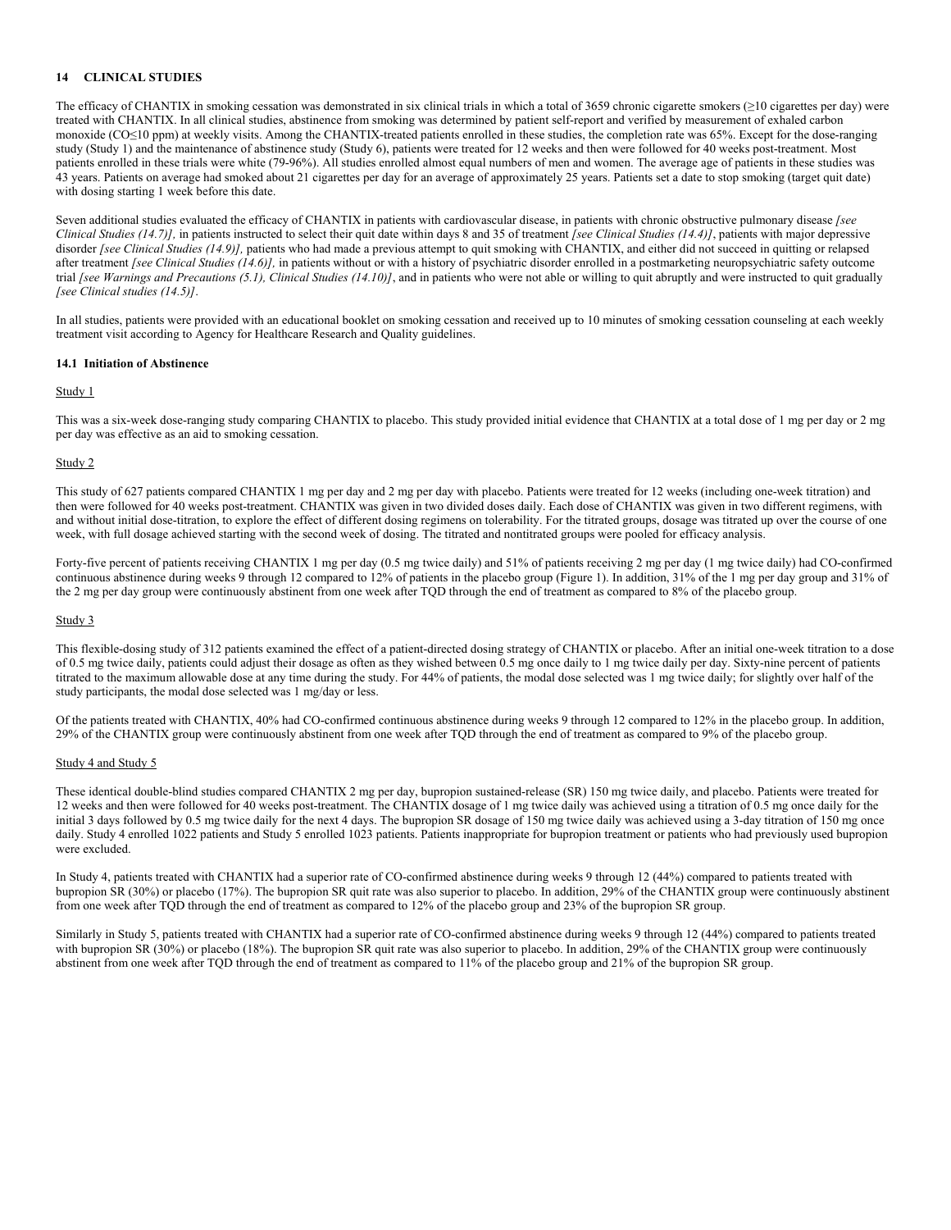## **14 CLINICAL STUDIES**

The efficacy of CHANTIX in smoking cessation was demonstrated in six clinical trials in which a total of 3659 chronic cigarette smokers (≥10 cigarettes per day) were treated with CHANTIX. In all clinical studies, abstinence from smoking was determined by patient self-report and verified by measurement of exhaled carbon monoxide (CO≤10 ppm) at weekly visits. Among the CHANTIX-treated patients enrolled in these studies, the completion rate was 65%. Except for the dose-ranging study (Study 1) and the maintenance of abstinence study (Study 6), patients were treated for 12 weeks and then were followed for 40 weeks post-treatment. Most patients enrolled in these trials were white (79-96%). All studies enrolled almost equal numbers of men and women. The average age of patients in these studies was 43 years. Patients on average had smoked about 21 cigarettes per day for an average of approximately 25 years. Patients set a date to stop smoking (target quit date) with dosing starting 1 week before this date.

Seven additional studies evaluated the efficacy of CHANTIX in patients with cardiovascular disease, in patients with chronic obstructive pulmonary disease *[see Clinical Studies (14.7)],* in patients instructed to select their quit date within days 8 and 35 of treatment *[see Clinical Studies (14.4)]*, patients with major depressive disorder *[see Clinical Studies (14.9)],* patients who had made a previous attempt to quit smoking with CHANTIX, and either did not succeed in quitting or relapsed after treatment *[see Clinical Studies (14.6)],* in patients without or with a history of psychiatric disorder enrolled in a postmarketing neuropsychiatric safety outcome trial *[see Warnings and Precautions (5.1), Clinical Studies (14.10)]*, and in patients who were not able or willing to quit abruptly and were instructed to quit gradually *[see Clinical studies (14.5)]*.

In all studies, patients were provided with an educational booklet on smoking cessation and received up to 10 minutes of smoking cessation counseling at each weekly treatment visit according to Agency for Healthcare Research and Quality guidelines.

#### **14.1 Initiation of Abstinence**

#### Study 1

This was a six-week dose-ranging study comparing CHANTIX to placebo. This study provided initial evidence that CHANTIX at a total dose of 1 mg per day or 2 mg per day was effective as an aid to smoking cessation.

#### Study 2

This study of 627 patients compared CHANTIX 1 mg per day and 2 mg per day with placebo. Patients were treated for 12 weeks (including one-week titration) and then were followed for 40 weeks post-treatment. CHANTIX was given in two divided doses daily. Each dose of CHANTIX was given in two different regimens, with and without initial dose-titration, to explore the effect of different dosing regimens on tolerability. For the titrated groups, dosage was titrated up over the course of one week, with full dosage achieved starting with the second week of dosing. The titrated and nontitrated groups were pooled for efficacy analysis.

Forty-five percent of patients receiving CHANTIX 1 mg per day (0.5 mg twice daily) and 51% of patients receiving 2 mg per day (1 mg twice daily) had CO-confirmed continuous abstinence during weeks 9 through 12 compared to 12% of patients in the placebo group (Figure 1). In addition, 31% of the 1 mg per day group and 31% of the 2 mg per day group were continuously abstinent from one week after TQD through the end of treatment as compared to 8% of the placebo group.

#### Study 3

This flexible-dosing study of 312 patients examined the effect of a patient-directed dosing strategy of CHANTIX or placebo. After an initial one-week titration to a dose of 0.5 mg twice daily, patients could adjust their dosage as often as they wished between 0.5 mg once daily to 1 mg twice daily per day. Sixty-nine percent of patients titrated to the maximum allowable dose at any time during the study. For 44% of patients, the modal dose selected was 1 mg twice daily; for slightly over half of the study participants, the modal dose selected was 1 mg/day or less.

Of the patients treated with CHANTIX, 40% had CO-confirmed continuous abstinence during weeks 9 through 12 compared to 12% in the placebo group. In addition, 29% of the CHANTIX group were continuously abstinent from one week after TQD through the end of treatment as compared to 9% of the placebo group.

#### Study 4 and Study 5

These identical double-blind studies compared CHANTIX 2 mg per day, bupropion sustained-release (SR) 150 mg twice daily, and placebo. Patients were treated for 12 weeks and then were followed for 40 weeks post-treatment. The CHANTIX dosage of 1 mg twice daily was achieved using a titration of 0.5 mg once daily for the initial 3 days followed by 0.5 mg twice daily for the next 4 days. The bupropion SR dosage of 150 mg twice daily was achieved using a 3-day titration of 150 mg once daily. Study 4 enrolled 1022 patients and Study 5 enrolled 1023 patients. Patients inappropriate for bupropion treatment or patients who had previously used bupropion were excluded.

In Study 4, patients treated with CHANTIX had a superior rate of CO-confirmed abstinence during weeks 9 through 12 (44%) compared to patients treated with bupropion SR (30%) or placebo (17%). The bupropion SR quit rate was also superior to placebo. In addition, 29% of the CHANTIX group were continuously abstinent from one week after TQD through the end of treatment as compared to 12% of the placebo group and 23% of the bupropion SR group.

Similarly in Study 5, patients treated with CHANTIX had a superior rate of CO-confirmed abstinence during weeks 9 through 12 (44%) compared to patients treated with bupropion SR (30%) or placebo (18%). The bupropion SR quit rate was also superior to placebo. In addition, 29% of the CHANTIX group were continuously abstinent from one week after TQD through the end of treatment as compared to 11% of the placebo group and 21% of the bupropion SR group.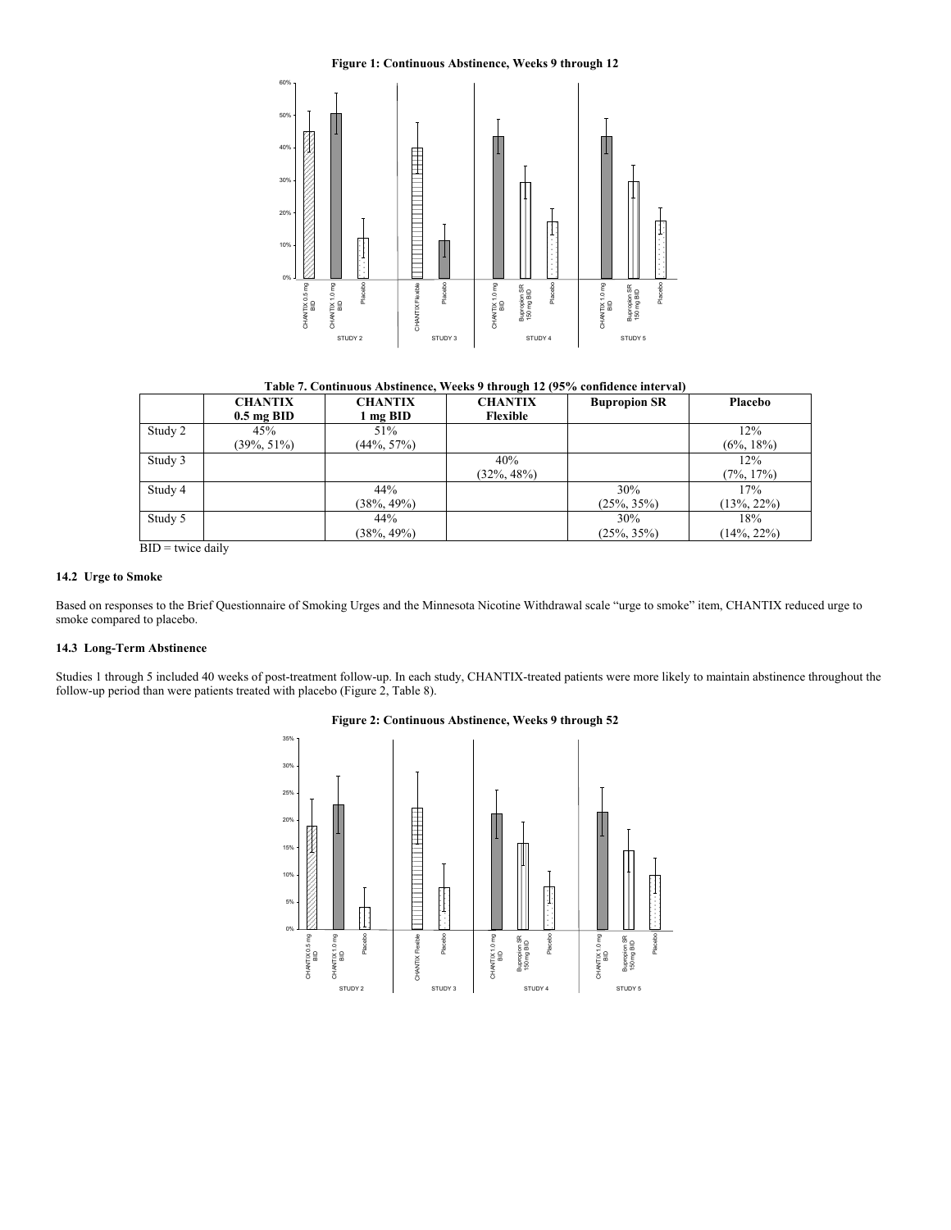## **Figure 1: Continuous Abstinence, Weeks 9 through 12**



**Table 7. Continuous Abstinence, Weeks 9 through 12 (95% confidence interval)**

|         | <b>CHANTIX</b> | <b>CHANTIX</b> | <b>CHANTIX</b> | <b>Bupropion SR</b> | Placebo        |
|---------|----------------|----------------|----------------|---------------------|----------------|
|         | $0.5$ mg BID   | 1 mg BID       | Flexible       |                     |                |
| Study 2 | 45%            | 51%            |                |                     | 12%            |
|         | $(39\%, 51\%)$ | $(44\%, 57\%)$ |                |                     | $(6\%, 18\%)$  |
| Study 3 |                |                | 40%            |                     | 12%            |
|         |                |                | $(32\%, 48\%)$ |                     | $(7\%, 17\%)$  |
| Study 4 |                | 44%            |                | 30%                 | 17%            |
|         |                | $(38\%, 49\%)$ |                | $(25\%, 35\%)$      | $(13\%, 22\%)$ |
| Study 5 |                | 44%            |                | 30%                 | 18%            |
|         |                | $(38\%, 49\%)$ |                | $(25\%, 35\%)$      | $14\%, 22\%$   |

 $BID =$  twice daily

#### **14.2 Urge to Smoke**

Based on responses to the Brief Questionnaire of Smoking Urges and the Minnesota Nicotine Withdrawal scale "urge to smoke" item, CHANTIX reduced urge to smoke compared to placebo.

## **14.3 Long-Term Abstinence**

Studies 1 through 5 included 40 weeks of post-treatment follow-up. In each study, CHANTIX-treated patients were more likely to maintain abstinence throughout the follow-up period than were patients treated with placebo (Figure 2, Table 8).



#### **Figure 2: Continuous Abstinence, Weeks 9 through 52**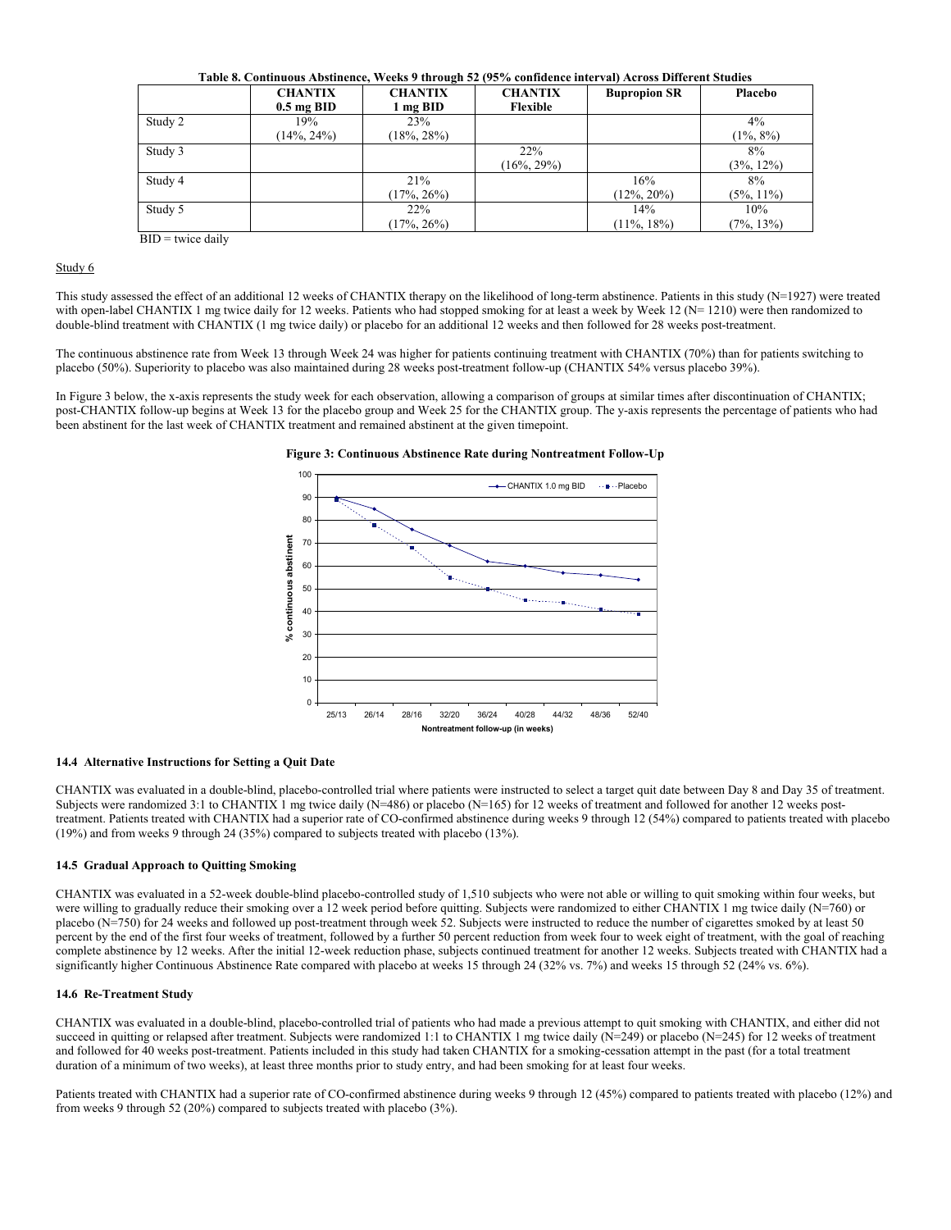| Table 8. Continuous Abstinence, Weeks 9 through 52 (95% confidence interval) Across Different Studies |                |                |                |                     |               |  |
|-------------------------------------------------------------------------------------------------------|----------------|----------------|----------------|---------------------|---------------|--|
|                                                                                                       | <b>CHANTIX</b> | <b>CHANTIX</b> | <b>CHANTIX</b> | <b>Bupropion SR</b> | Placebo       |  |
|                                                                                                       | $0.5$ mg BID   | l mg BID       | Flexible       |                     |               |  |
| Study 2                                                                                               | 19%            | 23%            |                |                     | $4\%$         |  |
|                                                                                                       | $(14\%, 24\%)$ | $18\%, 28\%$   |                |                     | $(1\%, 8\%)$  |  |
| Study 3                                                                                               |                |                | 22%            |                     | 8%            |  |
|                                                                                                       |                |                | $(16\%, 29\%)$ |                     | $(3\%, 12\%)$ |  |
| Study 4                                                                                               |                | 21%            |                | 16%                 | 8%            |  |
|                                                                                                       |                | $(17\%, 26\%)$ |                | $(12\%, 20\%)$      | $(5\%, 11\%)$ |  |
| Study 5                                                                                               |                | 22%            |                | 14%                 | 10%           |  |
|                                                                                                       |                | $(17\%, 26\%)$ |                | $(11\%, 18\%)$      | $(7\%, 13\%)$ |  |

 $BID =$  twice daily

## Study 6

This study assessed the effect of an additional 12 weeks of CHANTIX therapy on the likelihood of long-term abstinence. Patients in this study (N=1927) were treated with open-label CHANTIX 1 mg twice daily for 12 weeks. Patients who had stopped smoking for at least a week by Week 12 ( $N= 1210$ ) were then randomized to double-blind treatment with CHANTIX (1 mg twice daily) or placebo for an additional 12 weeks and then followed for 28 weeks post-treatment.

The continuous abstinence rate from Week 13 through Week 24 was higher for patients continuing treatment with CHANTIX (70%) than for patients switching to placebo (50%). Superiority to placebo was also maintained during 28 weeks post-treatment follow-up (CHANTIX 54% versus placebo 39%).

In Figure 3 below, the x-axis represents the study week for each observation, allowing a comparison of groups at similar times after discontinuation of CHANTIX; post-CHANTIX follow-up begins at Week 13 for the placebo group and Week 25 for the CHANTIX group. The y-axis represents the percentage of patients who had been abstinent for the last week of CHANTIX treatment and remained abstinent at the given timepoint.



#### **Figure 3: Continuous Abstinence Rate during Nontreatment Follow-Up**

#### **14.4 Alternative Instructions for Setting a Quit Date**

CHANTIX was evaluated in a double-blind, placebo-controlled trial where patients were instructed to select a target quit date between Day 8 and Day 35 of treatment. Subjects were randomized 3:1 to CHANTIX 1 mg twice daily (N=486) or placebo (N=165) for 12 weeks of treatment and followed for another 12 weeks posttreatment. Patients treated with CHANTIX had a superior rate of CO-confirmed abstinence during weeks 9 through 12 (54%) compared to patients treated with placebo (19%) and from weeks 9 through 24 (35%) compared to subjects treated with placebo (13%).

## **14.5 Gradual Approach to Quitting Smoking**

CHANTIX was evaluated in a 52-week double-blind placebo-controlled study of 1,510 subjects who were not able or willing to quit smoking within four weeks, but were willing to gradually reduce their smoking over a 12 week period before quitting. Subjects were randomized to either CHANTIX 1 mg twice daily (N=760) or placebo (N=750) for 24 weeks and followed up post-treatment through week 52. Subjects were instructed to reduce the number of cigarettes smoked by at least 50 percent by the end of the first four weeks of treatment, followed by a further 50 percent reduction from week four to week eight of treatment, with the goal of reaching complete abstinence by 12 weeks. After the initial 12-week reduction phase, subjects continued treatment for another 12 weeks. Subjects treated with CHANTIX had a significantly higher Continuous Abstinence Rate compared with placebo at weeks 15 through 24 (32% vs. 7%) and weeks 15 through 52 (24% vs. 6%).

### **14.6 Re-Treatment Study**

CHANTIX was evaluated in a double-blind, placebo-controlled trial of patients who had made a previous attempt to quit smoking with CHANTIX, and either did not succeed in quitting or relapsed after treatment. Subjects were randomized 1:1 to CHANTIX 1 mg twice daily (N=249) or placebo (N=245) for 12 weeks of treatment and followed for 40 weeks post-treatment. Patients included in this study had taken CHANTIX for a smoking-cessation attempt in the past (for a total treatment duration of a minimum of two weeks), at least three months prior to study entry, and had been smoking for at least four weeks.

Patients treated with CHANTIX had a superior rate of CO-confirmed abstinence during weeks 9 through 12 (45%) compared to patients treated with placebo (12%) and from weeks 9 through 52 (20%) compared to subjects treated with placebo (3%).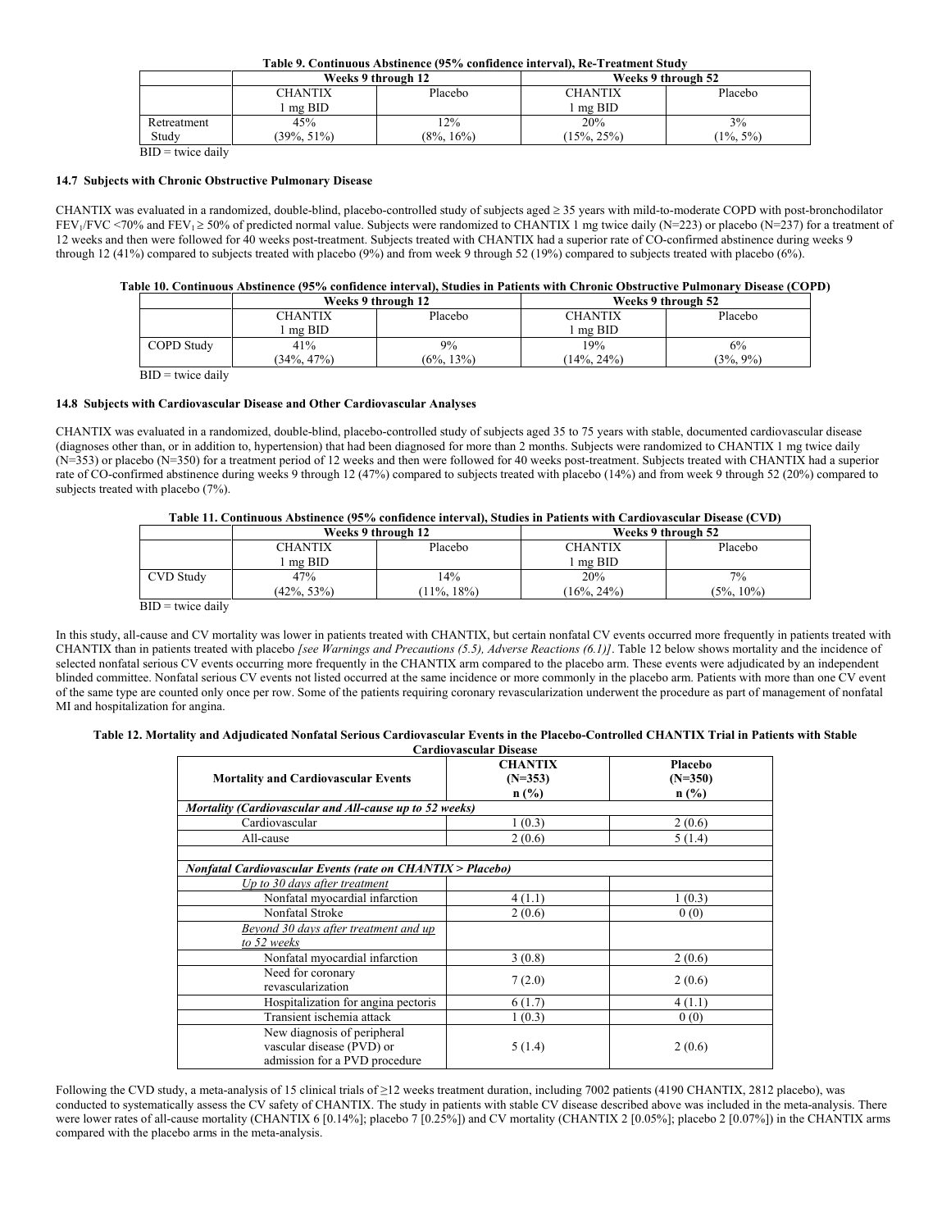**Table 9. Continuous Abstinence (95% confidence interval), Re-Treatment Study**

|             |                    | Weeks 9 through 12 | Weeks 9 through 52        |             |  |
|-------------|--------------------|--------------------|---------------------------|-------------|--|
|             | Placebo<br>CHANTIX |                    | Placebo<br><b>CHANTIX</b> |             |  |
|             | $me$ BID           |                    | mg BID                    |             |  |
| Retreatment | 45%                | 12%                | 20%                       | 3%          |  |
| Study       | $(39\%, 51\%)$     | $(8\%, 16\%)$      | $15\%, 25\%)$             | $1\%$ , 5%) |  |

 $BID =$  twice daily

#### **14.7 Subjects with Chronic Obstructive Pulmonary Disease**

CHANTIX was evaluated in a randomized, double-blind, placebo-controlled study of subjects aged ≥ 35 years with mild-to-moderate COPD with post-bronchodilator  $FEV_1/FVC$  <70% and  $FEV_1 \ge 50\%$  of predicted normal value. Subjects were randomized to CHANTIX 1 mg twice daily (N=223) or placebo (N=237) for a treatment of 12 weeks and then were followed for 40 weeks post-treatment. Subjects treated with CHANTIX had a superior rate of CO-confirmed abstinence during weeks 9 through 12 (41%) compared to subjects treated with placebo (9%) and from week 9 through 52 (19%) compared to subjects treated with placebo (6%).

#### **Table 10. Continuous Abstinence (95% confidence interval), Studies in Patients with Chronic Obstructive Pulmonary Disease (COPD)**

|            | Weeks 9 through 12 |               | Weeks 9 through 52 |              |
|------------|--------------------|---------------|--------------------|--------------|
|            | <b>CHANTIX</b>     | Placebo       | <b>CHANTIX</b>     | Placebo      |
|            | mg BID             |               | l mg BID           |              |
| COPD Study | 41%                | 9%            | 19%                | 6%           |
|            | $(34\%, 47\%)$     | $(6\%, 13\%)$ | $14\%, 24\%$       | $(3\%, 9\%)$ |
|            |                    |               |                    |              |

 $BD = twice$  daily

## **14.8 Subjects with Cardiovascular Disease and Other Cardiovascular Analyses**

CHANTIX was evaluated in a randomized, double-blind, placebo-controlled study of subjects aged 35 to 75 years with stable, documented cardiovascular disease (diagnoses other than, or in addition to, hypertension) that had been diagnosed for more than 2 months. Subjects were randomized to CHANTIX 1 mg twice daily (N=353) or placebo (N=350) for a treatment period of 12 weeks and then were followed for 40 weeks post-treatment. Subjects treated with CHANTIX had a superior rate of CO-confirmed abstinence during weeks 9 through 12 (47%) compared to subjects treated with placebo (14%) and from week 9 through 52 (20%) compared to subjects treated with placebo (7%).

## **Table 11. Continuous Abstinence (95% confidence interval), Studies in Patients with Cardiovascular Disease (CVD)**

|                     | Weeks 9 through 12 |                | Weeks 9 through 52 |               |
|---------------------|--------------------|----------------|--------------------|---------------|
|                     | <b>CHANTIX</b>     | Placebo        | <b>CHANTIX</b>     | Placebo       |
|                     | $\log$ BID         |                | $\ln p$ BID        |               |
| CVD Study           | 47%                | 14%            | 20%                | $7\%$         |
|                     | $(42\%, 53\%)$     | $(11\%, 18\%)$ | $(16\%, 24\%)$     | $(5\%, 10\%)$ |
| $BID = twice daily$ |                    |                |                    |               |

In this study, all-cause and CV mortality was lower in patients treated with CHANTIX, but certain nonfatal CV events occurred more frequently in patients treated with CHANTIX than in patients treated with placebo *[see Warnings and Precautions (5.5), Adverse Reactions (6.1)]*. Table 12 below shows mortality and the incidence of selected nonfatal serious CV events occurring more frequently in the CHANTIX arm compared to the placebo arm. These events were adjudicated by an independent blinded committee. Nonfatal serious CV events not listed occurred at the same incidence or more commonly in the placebo arm. Patients with more than one CV event of the same type are counted only once per row. Some of the patients requiring coronary revascularization underwent the procedure as part of management of nonfatal MI and hospitalization for angina.

#### **Table 12. Mortality and Adjudicated Nonfatal Serious Cardiovascular Events in the Placebo-Controlled CHANTIX Trial in Patients with Stable Cardiovascular Disease**

| <b>Mortality and Cardiovascular Events</b>                                                            | <b>CHANTIX</b><br>$(N=353)$<br>$n$ (%) | Placebo<br>$(N=350)$<br>$n$ (%) |
|-------------------------------------------------------------------------------------------------------|----------------------------------------|---------------------------------|
| Mortality (Cardiovascular and All-cause up to 52 weeks)                                               |                                        |                                 |
| Cardiovascular                                                                                        | 1(0.3)                                 | 2(0.6)                          |
| All-cause                                                                                             | 2(0.6)                                 | 5(1.4)                          |
| <b>Nonfatal Cardiovascular Events (rate on CHANTIX &gt; Placebo)</b><br>Up to 30 days after treatment |                                        |                                 |
| Nonfatal myocardial infarction                                                                        | 4(1.1)                                 | 1(0.3)                          |
| Nonfatal Stroke                                                                                       | 2(0.6)                                 | 0(0)                            |
| Beyond 30 days after treatment and up<br>to 52 weeks                                                  |                                        |                                 |
| Nonfatal myocardial infarction                                                                        | 3(0.8)                                 | 2(0.6)                          |
| Need for coronary<br>revascularization                                                                | 7(2.0)                                 | 2(0.6)                          |
| Hospitalization for angina pectoris                                                                   | 6(1.7)                                 | 4(1.1)                          |
| Transient ischemia attack                                                                             | 1(0.3)                                 | 0(0)                            |
| New diagnosis of peripheral<br>vascular disease (PVD) or<br>admission for a PVD procedure             | 5(1.4)                                 | 2(0.6)                          |

Following the CVD study, a meta-analysis of 15 clinical trials of ≥12 weeks treatment duration, including 7002 patients (4190 CHANTIX, 2812 placebo), was conducted to systematically assess the CV safety of CHANTIX. The study in patients with stable CV disease described above was included in the meta-analysis. There were lower rates of all-cause mortality (CHANTIX 6 [0.14%]; placebo 7 [0.25%]) and CV mortality (CHANTIX 2 [0.05%]; placebo 2 [0.07%]) in the CHANTIX arms compared with the placebo arms in the meta-analysis.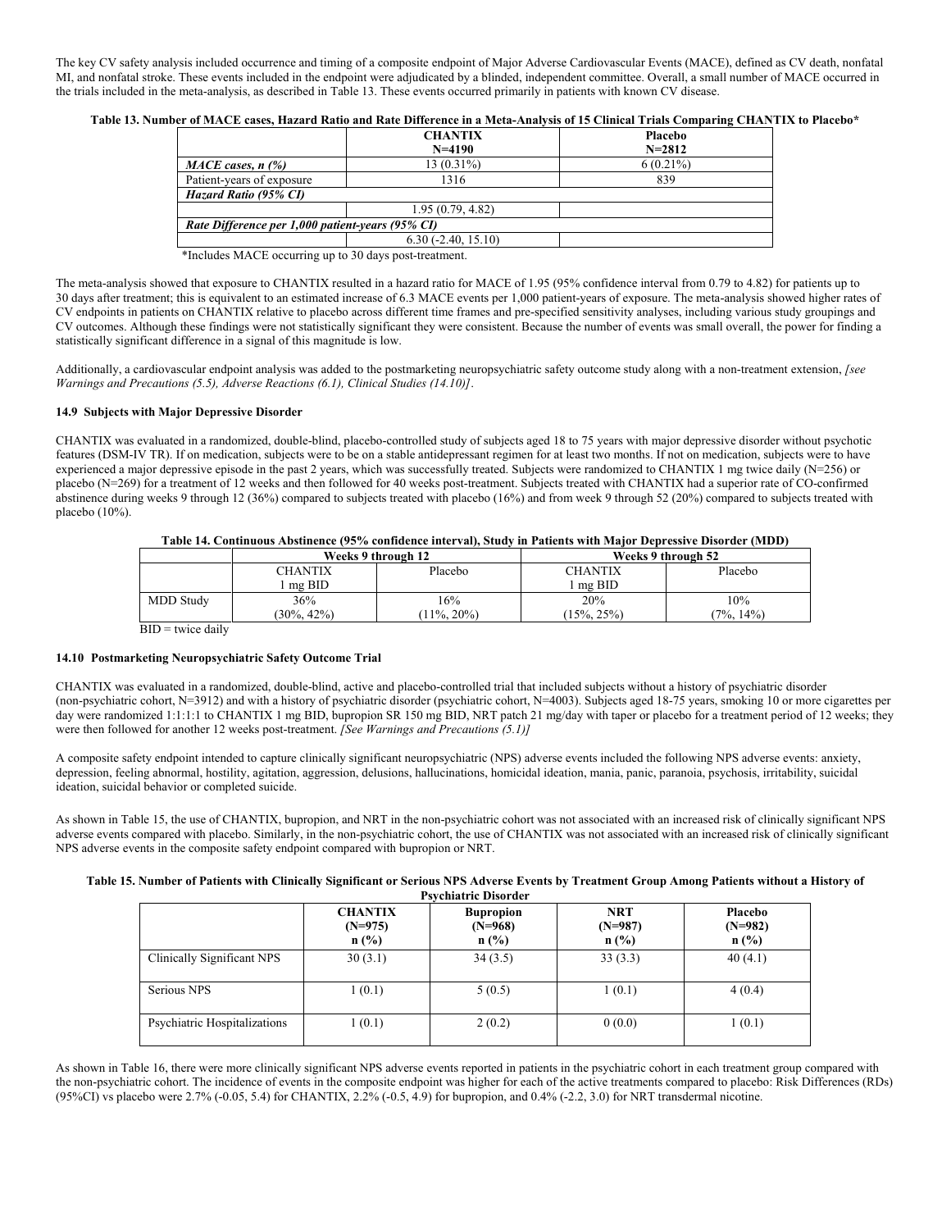The key CV safety analysis included occurrence and timing of a composite endpoint of Major Adverse Cardiovascular Events (MACE), defined as CV death, nonfatal MI, and nonfatal stroke. These events included in the endpoint were adjudicated by a blinded, independent committee. Overall, a small number of MACE occurred in the trials included in the meta-analysis, as described in Table 13. These events occurred primarily in patients with known CV disease.

**Table 13. Number of MACE cases, Hazard Ratio and Rate Difference in a Meta-Analysis of 15 Clinical Trials Comparing CHANTIX to Placebo\***

|                                                  | <b>CHANTIX</b><br>$N = 4190$ | <b>Placebo</b><br>$N = 2812$ |
|--------------------------------------------------|------------------------------|------------------------------|
| $MACE$ cases, n $(\%)$                           | $13(0.31\%)$                 | $6(0.21\%)$                  |
| Patient-years of exposure                        | 1316                         | 839                          |
| Hazard Ratio (95% CI)                            |                              |                              |
|                                                  | 1.95(0.79, 4.82)             |                              |
| Rate Difference per 1,000 patient-years (95% CI) |                              |                              |
|                                                  | $6.30(-2.40, 15.10)$         |                              |
| sh T<br>3.5.07                                   | 201<br>.                     |                              |

\*Includes MACE occurring up to 30 days post-treatment.

The meta-analysis showed that exposure to CHANTIX resulted in a hazard ratio for MACE of 1.95 (95% confidence interval from 0.79 to 4.82) for patients up to 30 days after treatment; this is equivalent to an estimated increase of 6.3 MACE events per 1,000 patient-years of exposure. The meta-analysis showed higher rates of CV endpoints in patients on CHANTIX relative to placebo across different time frames and pre-specified sensitivity analyses, including various study groupings and CV outcomes. Although these findings were not statistically significant they were consistent. Because the number of events was small overall, the power for finding a statistically significant difference in a signal of this magnitude is low.

Additionally, a cardiovascular endpoint analysis was added to the postmarketing neuropsychiatric safety outcome study along with a non-treatment extension, *[see Warnings and Precautions (5.5), Adverse Reactions (6.1), Clinical Studies (14.10)]*.

#### **14.9 Subjects with Major Depressive Disorder**

CHANTIX was evaluated in a randomized, double-blind, placebo-controlled study of subjects aged 18 to 75 years with major depressive disorder without psychotic features (DSM-IV TR). If on medication, subjects were to be on a stable antidepressant regimen for at least two months. If not on medication, subjects were to have experienced a major depressive episode in the past 2 years, which was successfully treated. Subjects were randomized to CHANTIX 1 mg twice daily (N=256) or placebo (N=269) for a treatment of 12 weeks and then followed for 40 weeks post-treatment. Subjects treated with CHANTIX had a superior rate of CO-confirmed abstinence during weeks 9 through 12 (36%) compared to subjects treated with placebo (16%) and from week 9 through 52 (20%) compared to subjects treated with placebo (10%).

| Table 14. Continuous Abstinence (95% confidence interval), Study in Patients with Major Depressive Disorder (MDD) |  |
|-------------------------------------------------------------------------------------------------------------------|--|
|-------------------------------------------------------------------------------------------------------------------|--|

|                  | Weeks 9 through 12 |              | Weeks 9 through 52 |              |
|------------------|--------------------|--------------|--------------------|--------------|
|                  | CHANTIX            | Placebo      | CHANTIX            | Placebo      |
|                  | $me$ BID           |              | mg BID             |              |
| <b>MDD Study</b> | 36%                | 16%          | 20%                | 10%          |
|                  | $30\%$ , 42%)      | $11\%, 20\%$ | $15\%, 25\%$       | $7\%$ , 14%) |

 $BID =$  twice daily

#### **14.10 Postmarketing Neuropsychiatric Safety Outcome Trial**

CHANTIX was evaluated in a randomized, double-blind, active and placebo-controlled trial that included subjects without a history of psychiatric disorder (non-psychiatric cohort, N=3912) and with a history of psychiatric disorder (psychiatric cohort, N=4003). Subjects aged 18-75 years, smoking 10 or more cigarettes per day were randomized 1:1:1:1 to CHANTIX 1 mg BID, bupropion SR 150 mg BID, NRT patch 21 mg/day with taper or placebo for a treatment period of 12 weeks; they were then followed for another 12 weeks post-treatment. *[See Warnings and Precautions (5.1)]* 

A composite safety endpoint intended to capture clinically significant neuropsychiatric (NPS) adverse events included the following NPS adverse events: anxiety, depression, feeling abnormal, hostility, agitation, aggression, delusions, hallucinations, homicidal ideation, mania, panic, paranoia, psychosis, irritability, suicidal ideation, suicidal behavior or completed suicide.

As shown in Table 15, the use of CHANTIX, bupropion, and NRT in the non-psychiatric cohort was not associated with an increased risk of clinically significant NPS adverse events compared with placebo. Similarly, in the non-psychiatric cohort, the use of CHANTIX was not associated with an increased risk of clinically significant NPS adverse events in the composite safety endpoint compared with bupropion or NRT.

## **Table 15. Number of Patients with Clinically Significant or Serious NPS Adverse Events by Treatment Group Among Patients without a History of**

|                              | <b>CHANTIX</b><br>$(N=975)$<br>$n$ (%) | <b>Bupropion</b><br>$(N=968)$<br>$n$ (%) | <b>NRT</b><br>$(N=987)$<br>$n$ (%) | Placebo<br>$(N=982)$<br>$n$ (%) |
|------------------------------|----------------------------------------|------------------------------------------|------------------------------------|---------------------------------|
| Clinically Significant NPS   | 30(3.1)                                | 34(3.5)                                  | 33(3.3)                            | 40(4.1)                         |
| Serious NPS                  | 1(0.1)                                 | 5(0.5)                                   | 1(0.1)                             | 4(0.4)                          |
| Psychiatric Hospitalizations | 1(0.1)                                 | 2(0.2)                                   | 0(0.0)                             | 1(0.1)                          |

As shown in Table 16, there were more clinically significant NPS adverse events reported in patients in the psychiatric cohort in each treatment group compared with the non-psychiatric cohort. The incidence of events in the composite endpoint was higher for each of the active treatments compared to placebo: Risk Differences (RDs) (95%CI) vs placebo were 2.7% (-0.05, 5.4) for CHANTIX, 2.2% (-0.5, 4.9) for bupropion, and 0.4% (-2.2, 3.0) for NRT transdermal nicotine.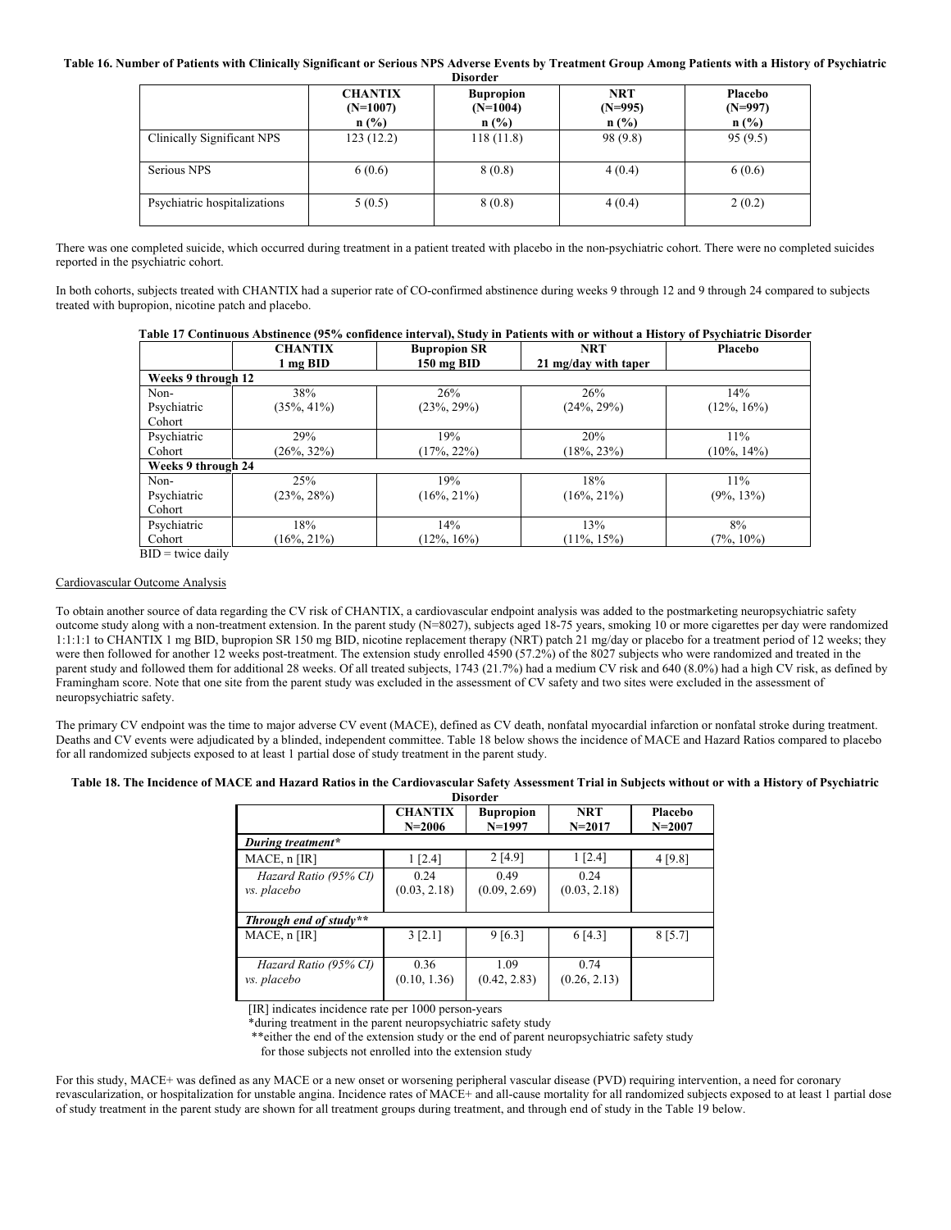**Table 16. Number of Patients with Clinically Significant or Serious NPS Adverse Events by Treatment Group Among Patients with a History of Psychiatric** 

|                              |                                         | <b>Disorder</b>                           |                                    |                              |
|------------------------------|-----------------------------------------|-------------------------------------------|------------------------------------|------------------------------|
|                              | <b>CHANTIX</b><br>$(N=1007)$<br>$n$ (%) | <b>Bupropion</b><br>$(N=1004)$<br>$n$ (%) | <b>NRT</b><br>$(N=995)$<br>$n$ (%) | Placebo<br>$(N=997)$<br>n(%) |
| Clinically Significant NPS   | 123(12.2)                               | 118(11.8)                                 | 98 (9.8)                           | 95(9.5)                      |
| Serious NPS                  | 6(0.6)                                  | 8(0.8)                                    | 4(0.4)                             | 6(0.6)                       |
| Psychiatric hospitalizations | 5(0.5)                                  | 8(0.8)                                    | 4(0.4)                             | 2(0.2)                       |

There was one completed suicide, which occurred during treatment in a patient treated with placebo in the non-psychiatric cohort. There were no completed suicides reported in the psychiatric cohort.

In both cohorts, subjects treated with CHANTIX had a superior rate of CO-confirmed abstinence during weeks 9 through 12 and 9 through 24 compared to subjects treated with bupropion, nicotine patch and placebo.

**Table 17 Continuous Abstinence (95% confidence interval), Study in Patients with or without a History of Psychiatric Disorder**

|                    | <b>CHANTIX</b> | <b>Bupropion SR</b> | <b>NRT</b>           | Placebo        |
|--------------------|----------------|---------------------|----------------------|----------------|
|                    | 1 mg BID       | 150 mg BID          | 21 mg/day with taper |                |
| Weeks 9 through 12 |                |                     |                      |                |
| Non-               | 38%            | 26%                 | 26%                  | 14%            |
| Psychiatric        | $(35\%, 41\%)$ | $(23\%, 29\%)$      | $(24\%, 29\%)$       | $(12\%, 16\%)$ |
| Cohort             |                |                     |                      |                |
| Psychiatric        | 29%            | 19%                 | 20%                  | 11%            |
| Cohort             | $(26\%, 32\%)$ | $(17\%, 22\%)$      | $(18\%, 23\%)$       | $(10\%, 14\%)$ |
| Weeks 9 through 24 |                |                     |                      |                |
| Non-               | 25%            | 19%                 | 18%                  | 11%            |
| Psychiatric        | $(23\%, 28\%)$ | $(16\%, 21\%)$      | $(16\%, 21\%)$       | $(9\%, 13\%)$  |
| Cohort             |                |                     |                      |                |
| Psychiatric        | 18%            | 14%                 | 13%                  | 8%             |
| Cohort             | $(16\%, 21\%)$ | $12\%, 16\%)$       | $11\%, 15\%$         | $(7\%, 10\%)$  |

 $BID =$  twice daily

## Cardiovascular Outcome Analysis

To obtain another source of data regarding the CV risk of CHANTIX, a cardiovascular endpoint analysis was added to the postmarketing neuropsychiatric safety outcome study along with a non-treatment extension. In the parent study (N=8027), subjects aged 18-75 years, smoking 10 or more cigarettes per day were randomized 1:1:1:1 to CHANTIX 1 mg BID, bupropion SR 150 mg BID, nicotine replacement therapy (NRT) patch 21 mg/day or placebo for a treatment period of 12 weeks; they were then followed for another 12 weeks post-treatment. The extension study enrolled  $4590 (57.2%)$  of the 8027 subjects who were randomized and treated in the parent study and followed them for additional 28 weeks. Of all treated subjects, 1743 (21.7%) had a medium CV risk and 640 (8.0%) had a high CV risk, as defined by Framingham score. Note that one site from the parent study was excluded in the assessment of CV safety and two sites were excluded in the assessment of neuropsychiatric safety.

The primary CV endpoint was the time to major adverse CV event (MACE), defined as CV death, nonfatal myocardial infarction or nonfatal stroke during treatment. Deaths and CV events were adjudicated by a blinded, independent committee. Table 18 below shows the incidence of MACE and Hazard Ratios compared to placebo for all randomized subjects exposed to at least 1 partial dose of study treatment in the parent study.

## **Table 18. The Incidence of MACE and Hazard Ratios in the Cardiovascular Safety Assessment Trial in Subjects without or with a History of Psychiatric**

| <b>Disorder</b>                      |                              |                              |                          |                       |  |
|--------------------------------------|------------------------------|------------------------------|--------------------------|-----------------------|--|
|                                      | <b>CHANTIX</b><br>$N = 2006$ | <b>Bupropion</b><br>$N=1997$ | <b>NRT</b><br>$N = 2017$ | Placebo<br>$N = 2007$ |  |
| During treatment*                    |                              |                              |                          |                       |  |
| MACE, n [IR]                         | 1 [2.4]                      | 2[4.9]                       | 1 [2.4]                  | 4 [9.8]               |  |
| Hazard Ratio (95% CI)<br>vs. placebo | 0.24<br>(0.03, 2.18)         | 0.49<br>(0.09, 2.69)         | 0.24<br>(0.03, 2.18)     |                       |  |
| Through end of study**               |                              |                              |                          |                       |  |
| MACE, n [IR]                         | 3 [2.1]                      | 9[6.3]                       | 6[4.3]                   | 8[5.7]                |  |
| Hazard Ratio (95% CI)<br>vs. placebo | 0.36<br>(0.10, 1.36)         | 1.09<br>(0.42, 2.83)         | 0.74<br>(0.26, 2.13)     |                       |  |

[IR] indicates incidence rate per 1000 person-years

\*during treatment in the parent neuropsychiatric safety study

\*\*either the end of the extension study or the end of parent neuropsychiatric safety study

for those subjects not enrolled into the extension study

For this study, MACE+ was defined as any MACE or a new onset or worsening peripheral vascular disease (PVD) requiring intervention, a need for coronary revascularization, or hospitalization for unstable angina. Incidence rates of MACE+ and all-cause mortality for all randomized subjects exposed to at least 1 partial dose of study treatment in the parent study are shown for all treatment groups during treatment, and through end of study in the Table 19 below.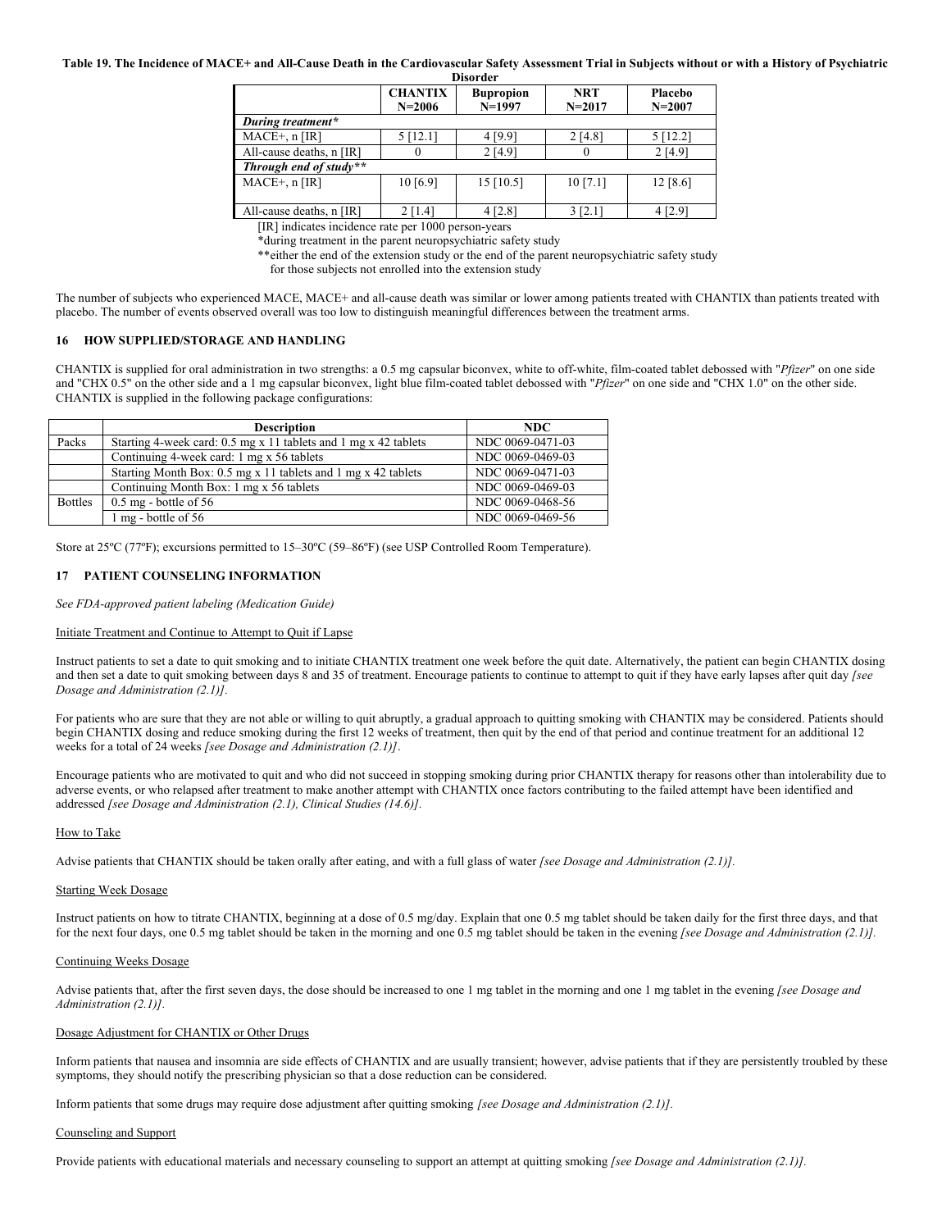## **Table 19. The Incidence of MACE+ and All-Cause Death in the Cardiovascular Safety Assessment Trial in Subjects without or with a History of Psychiatric**

| <b>Disorder</b>          |                |                  |            |            |  |  |
|--------------------------|----------------|------------------|------------|------------|--|--|
|                          | <b>CHANTIX</b> | <b>Bupropion</b> | <b>NRT</b> | Placebo    |  |  |
|                          | $N = 2006$     | $N=1997$         | $N = 2017$ | $N = 2007$ |  |  |
| During treatment*        |                |                  |            |            |  |  |
| $MACE+, n [IR]$          | $5$ [12.1]     | 4 [9.9]          | 2 [4.8]    | 5 [12.2]   |  |  |
| All-cause deaths, n [IR] |                | 2[4.9]           |            | 2 [4.9]    |  |  |
| Through end of study**   |                |                  |            |            |  |  |
| $MACE+, n [IR]$          | 10[6.9]        | 15 [10.5]        | 10[7.1]    | 12 [8.6]   |  |  |
|                          |                |                  |            |            |  |  |
| All-cause deaths, n [IR] | $2$ [1.4]      | 4 [2.8]          | 3 [2.1]    | $4$ [2.9]  |  |  |

[IR] indicates incidence rate per 1000 person-years

\*during treatment in the parent neuropsychiatric safety study

\*\*either the end of the extension study or the end of the parent neuropsychiatric safety study

for those subjects not enrolled into the extension study

The number of subjects who experienced MACE, MACE+ and all-cause death was similar or lower among patients treated with CHANTIX than patients treated with placebo. The number of events observed overall was too low to distinguish meaningful differences between the treatment arms.

## **16 HOW SUPPLIED/STORAGE AND HANDLING**

CHANTIX is supplied for oral administration in two strengths: a 0.5 mg capsular biconvex, white to off-white, film-coated tablet debossed with "*Pfizer*" on one side and "CHX 0.5" on the other side and a 1 mg capsular biconvex, light blue film-coated tablet debossed with "*Pfizer*" on one side and "CHX 1.0" on the other side. CHANTIX is supplied in the following package configurations:

|                | <b>Description</b>                                              | NDC.             |
|----------------|-----------------------------------------------------------------|------------------|
| Packs          | Starting 4-week card: 0.5 mg x 11 tablets and 1 mg x 42 tablets | NDC 0069-0471-03 |
|                | Continuing 4-week card: 1 mg x 56 tablets                       | NDC 0069-0469-03 |
|                | Starting Month Box: 0.5 mg x 11 tablets and 1 mg x 42 tablets   | NDC 0069-0471-03 |
|                | Continuing Month Box: 1 mg x 56 tablets                         | NDC 0069-0469-03 |
| <b>Bottles</b> | $0.5 \text{ mg}$ - bottle of 56                                 | NDC 0069-0468-56 |
|                | 1 mg - bottle of 56                                             | NDC 0069-0469-56 |

Store at 25ºC (77ºF); excursions permitted to 15–30ºC (59–86ºF) (see USP Controlled Room Temperature).

#### **17 PATIENT COUNSELING INFORMATION**

*See FDA-approved patient labeling (Medication Guide)*

#### Initiate Treatment and Continue to Attempt to Quit if Lapse

Instruct patients to set a date to quit smoking and to initiate CHANTIX treatment one week before the quit date. Alternatively, the patient can begin CHANTIX dosing and then set a date to quit smoking between days 8 and 35 of treatment. Encourage patients to continue to attempt to quit if they have early lapses after quit day *[see Dosage and Administration (2.1)].*

For patients who are sure that they are not able or willing to quit abruptly, a gradual approach to quitting smoking with CHANTIX may be considered. Patients should begin CHANTIX dosing and reduce smoking during the first 12 weeks of treatment, then quit by the end of that period and continue treatment for an additional 12 weeks for a total of 24 weeks *[see Dosage and Administration (2.1)]*.

Encourage patients who are motivated to quit and who did not succeed in stopping smoking during prior CHANTIX therapy for reasons other than intolerability due to adverse events, or who relapsed after treatment to make another attempt with CHANTIX once factors contributing to the failed attempt have been identified and addressed *[see Dosage and Administration (2.1), Clinical Studies (14.6)].*

#### How to Take

Advise patients that CHANTIX should be taken orally after eating, and with a full glass of water *[see Dosage and Administration (2.1)].*

#### Starting Week Dosage

Instruct patients on how to titrate CHANTIX, beginning at a dose of 0.5 mg/day. Explain that one 0.5 mg tablet should be taken daily for the first three days, and that for the next four days, one 0.5 mg tablet should be taken in the morning and one 0.5 mg tablet should be taken in the evening *[see Dosage and Administration (2.1)]*.

#### Continuing Weeks Dosage

Advise patients that, after the first seven days, the dose should be increased to one 1 mg tablet in the morning and one 1 mg tablet in the evening *[see Dosage and Administration (2.1)].*

#### Dosage Adjustment for CHANTIX or Other Drugs

Inform patients that nausea and insomnia are side effects of CHANTIX and are usually transient; however, advise patients that if they are persistently troubled by these symptoms, they should notify the prescribing physician so that a dose reduction can be considered.

Inform patients that some drugs may require dose adjustment after quitting smoking *[see Dosage and Administration (2.1)].*

## Counseling and Support

Provide patients with educational materials and necessary counseling to support an attempt at quitting smoking *[see Dosage and Administration (2.1)]*.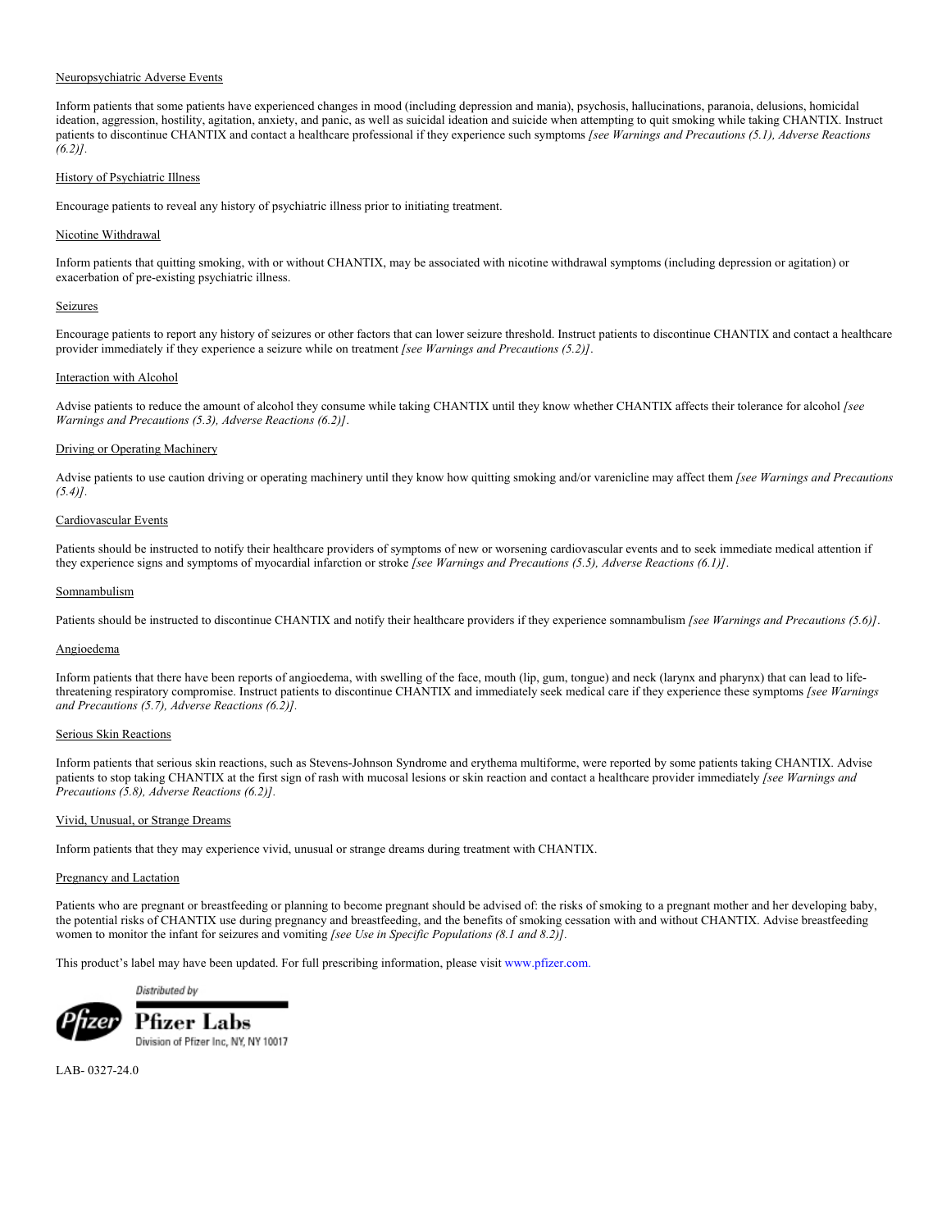## Neuropsychiatric Adverse Events

Inform patients that some patients have experienced changes in mood (including depression and mania), psychosis, hallucinations, paranoia, delusions, homicidal ideation, aggression, hostility, agitation, anxiety, and panic, as well as suicidal ideation and suicide when attempting to quit smoking while taking CHANTIX. Instruct patients to discontinue CHANTIX and contact a healthcare professional if they experience such symptoms *[see Warnings and Precautions (5.1), Adverse Reactions (6.2)].*

## History of Psychiatric Illness

Encourage patients to reveal any history of psychiatric illness prior to initiating treatment.

## Nicotine Withdrawal

Inform patients that quitting smoking, with or without CHANTIX, may be associated with nicotine withdrawal symptoms (including depression or agitation) or exacerbation of pre-existing psychiatric illness.

#### Seizures

Encourage patients to report any history of seizures or other factors that can lower seizure threshold. Instruct patients to discontinue CHANTIX and contact a healthcare provider immediately if they experience a seizure while on treatment *[see Warnings and Precautions (5.2)]*.

## Interaction with Alcohol

Advise patients to reduce the amount of alcohol they consume while taking CHANTIX until they know whether CHANTIX affects their tolerance for alcohol *[see Warnings and Precautions (5.3), Adverse Reactions (6.2)]*.

## Driving or Operating Machinery

Advise patients to use caution driving or operating machinery until they know how quitting smoking and/or varenicline may affect them *[see Warnings and Precautions (5.4)].*

## Cardiovascular Events

Patients should be instructed to notify their healthcare providers of symptoms of new or worsening cardiovascular events and to seek immediate medical attention if they experience signs and symptoms of myocardial infarction or stroke *[see Warnings and Precautions (5.5), Adverse Reactions (6.1)]*.

#### Somnambulism

Patients should be instructed to discontinue CHANTIX and notify their healthcare providers if they experience somnambulism *[see Warnings and Precautions (5.6)]*.

#### Angioedema

Inform patients that there have been reports of angioedema, with swelling of the face, mouth (lip, gum, tongue) and neck (larynx and pharynx) that can lead to lifethreatening respiratory compromise. Instruct patients to discontinue CHANTIX and immediately seek medical care if they experience these symptoms *[see Warnings and Precautions (5.7), Adverse Reactions (6.2)].*

## Serious Skin Reactions

Inform patients that serious skin reactions, such as Stevens-Johnson Syndrome and erythema multiforme, were reported by some patients taking CHANTIX. Advise patients to stop taking CHANTIX at the first sign of rash with mucosal lesions or skin reaction and contact a healthcare provider immediately *[see Warnings and Precautions (5.8), Adverse Reactions (6.2)].*

#### Vivid, Unusual, or Strange Dreams

Inform patients that they may experience vivid, unusual or strange dreams during treatment with CHANTIX.

### Pregnancy and Lactation

Patients who are pregnant or breastfeeding or planning to become pregnant should be advised of: the risks of smoking to a pregnant mother and her developing baby, the potential risks of CHANTIX use during pregnancy and breastfeeding, and the benefits of smoking cessation with and without CHANTIX. Advise breastfeeding women to monitor the infant for seizures and vomiting *[see Use in Specific Populations (8.1 and 8.2)].*

This product's label may have been updated. For full prescribing information, please visi[t www.pfizer.com.](http://www.pfizer.com/)

Distributed by



Pfizer Labs Division of Pfizer Inc, NY, NY 10017

LAB- 0327-24.0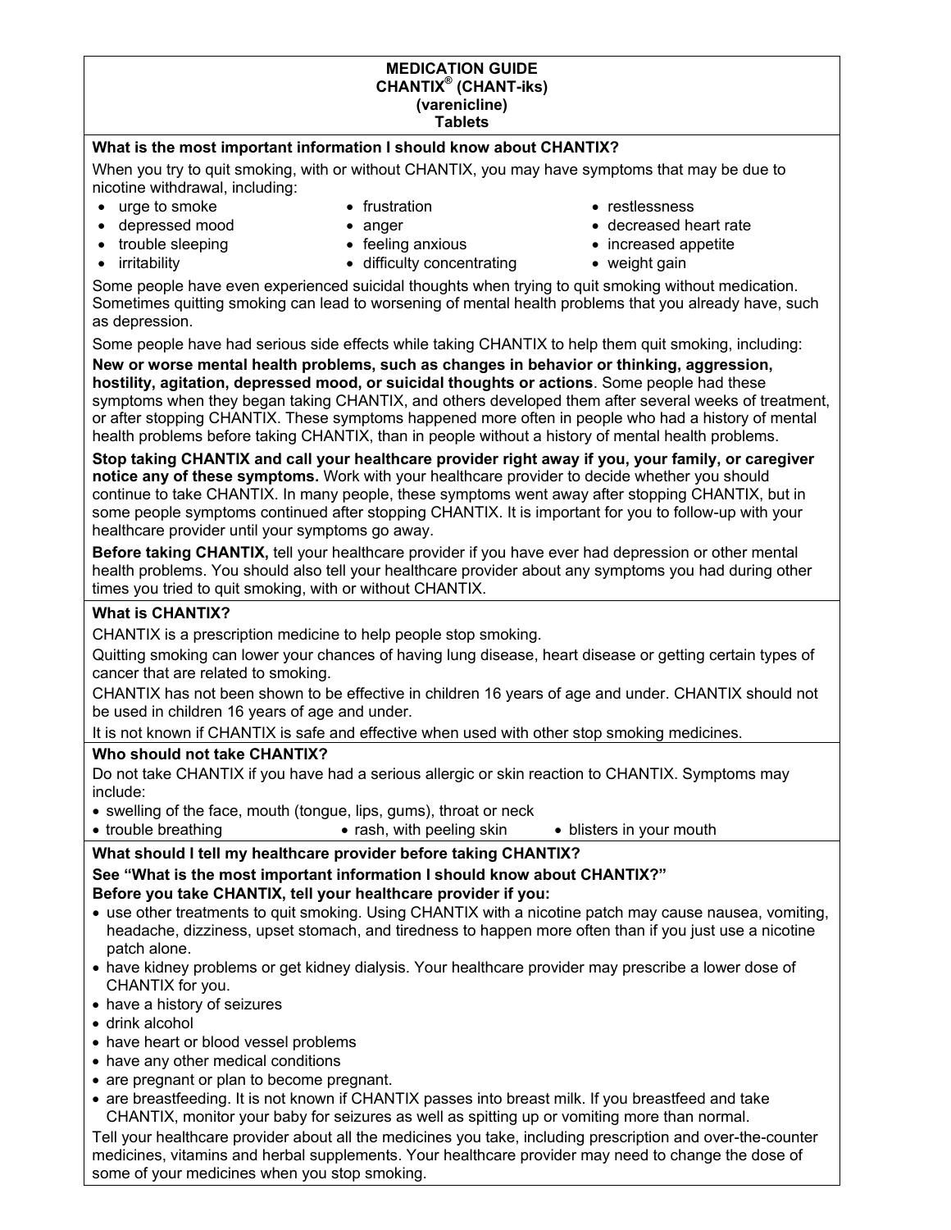## **MEDICATION GUIDE CHANTIX® (CHANT-iks) (varenicline) Tablets**

## **What is the most important information I should know about CHANTIX?**

When you try to quit smoking, with or without CHANTIX, you may have symptoms that may be due to nicotine withdrawal, including:

- urge to smoke
- depressed mood
- trouble sleeping
- irritability
- frustration
- anger
- feeling anxious • difficulty concentrating
- restlessness
- decreased heart rate
- increased appetite
- weight gain

Some people have even experienced suicidal thoughts when trying to quit smoking without medication. Sometimes quitting smoking can lead to worsening of mental health problems that you already have, such as depression.

Some people have had serious side effects while taking CHANTIX to help them quit smoking, including:

**New or worse mental health problems, such as changes in behavior or thinking, aggression, hostility, agitation, depressed mood, or suicidal thoughts or actions**. Some people had these symptoms when they began taking CHANTIX, and others developed them after several weeks of treatment, or after stopping CHANTIX. These symptoms happened more often in people who had a history of mental health problems before taking CHANTIX, than in people without a history of mental health problems.

**Stop taking CHANTIX and call your healthcare provider right away if you, your family, or caregiver notice any of these symptoms.** Work with your healthcare provider to decide whether you should continue to take CHANTIX. In many people, these symptoms went away after stopping CHANTIX, but in some people symptoms continued after stopping CHANTIX. It is important for you to follow-up with your healthcare provider until your symptoms go away.

**Before taking CHANTIX,** tell your healthcare provider if you have ever had depression or other mental health problems. You should also tell your healthcare provider about any symptoms you had during other times you tried to quit smoking, with or without CHANTIX.

# **What is CHANTIX?**

CHANTIX is a prescription medicine to help people stop smoking.

Quitting smoking can lower your chances of having lung disease, heart disease or getting certain types of cancer that are related to smoking.

CHANTIX has not been shown to be effective in children 16 years of age and under. CHANTIX should not be used in children 16 years of age and under.

It is not known if CHANTIX is safe and effective when used with other stop smoking medicines.

## **Who should not take CHANTIX?**

Do not take CHANTIX if you have had a serious allergic or skin reaction to CHANTIX. Symptoms may include:

• swelling of the face, mouth (tongue, lips, gums), throat or neck

• trouble breathing • rash, with peeling skin • blisters in your mouth

## **What should I tell my healthcare provider before taking CHANTIX? See "What is the most important information I should know about CHANTIX?" Before you take CHANTIX, tell your healthcare provider if you:**

- use other treatments to quit smoking. Using CHANTIX with a nicotine patch may cause nausea, vomiting, headache, dizziness, upset stomach, and tiredness to happen more often than if you just use a nicotine patch alone.
- have kidney problems or get kidney dialysis. Your healthcare provider may prescribe a lower dose of CHANTIX for you.
- have a history of seizures
- drink alcohol
- have heart or blood vessel problems
- have any other medical conditions
- are pregnant or plan to become pregnant.
- are breastfeeding. It is not known if CHANTIX passes into breast milk. If you breastfeed and take CHANTIX, monitor your baby for seizures as well as spitting up or vomiting more than normal.

Tell your healthcare provider about all the medicines you take, including prescription and over-the-counter medicines, vitamins and herbal supplements. Your healthcare provider may need to change the dose of some of your medicines when you stop smoking.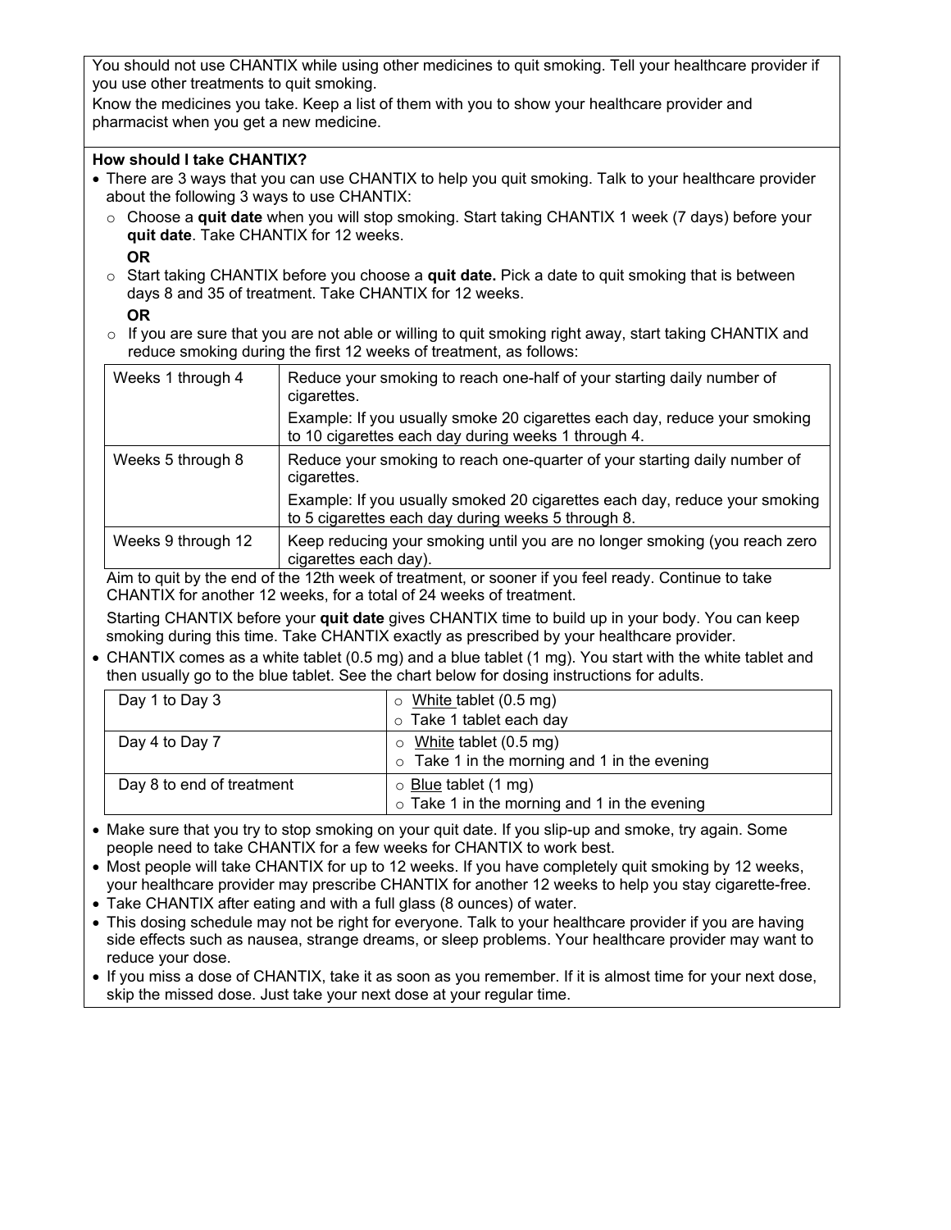You should not use CHANTIX while using other medicines to quit smoking. Tell your healthcare provider if you use other treatments to quit smoking.

Know the medicines you take. Keep a list of them with you to show your healthcare provider and pharmacist when you get a new medicine.

## **How should I take CHANTIX?**

- There are 3 ways that you can use CHANTIX to help you quit smoking. Talk to your healthcare provider about the following 3 ways to use CHANTIX:
	- o Choose a **quit date** when you will stop smoking. Start taking CHANTIX 1 week (7 days) before your **quit date**. Take CHANTIX for 12 weeks.
		- **OR**
	- o Start taking CHANTIX before you choose a **quit date.** Pick a date to quit smoking that is between days 8 and 35 of treatment. Take CHANTIX for 12 weeks.

# **OR**

o If you are sure that you are not able or willing to quit smoking right away, start taking CHANTIX and reduce smoking during the first 12 weeks of treatment, as follows:

| Weeks 1 through 4                                                                                                                                                                                                                                                                                                                              | Reduce your smoking to reach one-half of your starting daily number of<br>cigarettes.                                            |  |
|------------------------------------------------------------------------------------------------------------------------------------------------------------------------------------------------------------------------------------------------------------------------------------------------------------------------------------------------|----------------------------------------------------------------------------------------------------------------------------------|--|
|                                                                                                                                                                                                                                                                                                                                                | Example: If you usually smoke 20 cigarettes each day, reduce your smoking<br>to 10 cigarettes each day during weeks 1 through 4. |  |
| Weeks 5 through 8                                                                                                                                                                                                                                                                                                                              | Reduce your smoking to reach one-quarter of your starting daily number of<br>cigarettes.                                         |  |
|                                                                                                                                                                                                                                                                                                                                                | Example: If you usually smoked 20 cigarettes each day, reduce your smoking<br>to 5 cigarettes each day during weeks 5 through 8. |  |
| Weeks 9 through 12                                                                                                                                                                                                                                                                                                                             | Keep reducing your smoking until you are no longer smoking (you reach zero<br>cigarettes each day).                              |  |
| Attack the constitution of the constitution of the constitution of the constitution of the constitution of the<br>$f$ if $f$ and $f$ is a set of the set of the set of the set of $f$ . The set of $f$ and $f$ and $f$ and $f$ and $f$ and $f$ and $f$ and $f$ and $f$ and $f$ and $f$ and $f$ and $f$ and $f$ and $f$ and $f$ and $f$ and $f$ |                                                                                                                                  |  |

Aim to quit by the end of the 12th week of treatment, or sooner if you feel ready. Continue to take CHANTIX for another 12 weeks, for a total of 24 weeks of treatment.

Starting CHANTIX before your **quit date** gives CHANTIX time to build up in your body. You can keep smoking during this time. Take CHANTIX exactly as prescribed by your healthcare provider.

• CHANTIX comes as a white tablet (0.5 mg) and a blue tablet (1 mg). You start with the white tablet and then usually go to the blue tablet. See the chart below for dosing instructions for adults.

| Day 1 to Day 3            | $\circ$ White tablet (0.5 mg)                      |  |
|---------------------------|----------------------------------------------------|--|
|                           | o Take 1 tablet each day                           |  |
| Day 4 to Day 7            | $\circ$ White tablet (0.5 mg)                      |  |
|                           | $\circ$ Take 1 in the morning and 1 in the evening |  |
| Day 8 to end of treatment | $\circ$ Blue tablet (1 mg)                         |  |
|                           | $\circ$ Take 1 in the morning and 1 in the evening |  |

• Make sure that you try to stop smoking on your quit date. If you slip-up and smoke, try again. Some people need to take CHANTIX for a few weeks for CHANTIX to work best.

- Most people will take CHANTIX for up to 12 weeks. If you have completely quit smoking by 12 weeks, your healthcare provider may prescribe CHANTIX for another 12 weeks to help you stay cigarette-free.
- Take CHANTIX after eating and with a full glass (8 ounces) of water.
- This dosing schedule may not be right for everyone. Talk to your healthcare provider if you are having side effects such as nausea, strange dreams, or sleep problems. Your healthcare provider may want to reduce your dose.
- If you miss a dose of CHANTIX, take it as soon as you remember. If it is almost time for your next dose, skip the missed dose. Just take your next dose at your regular time.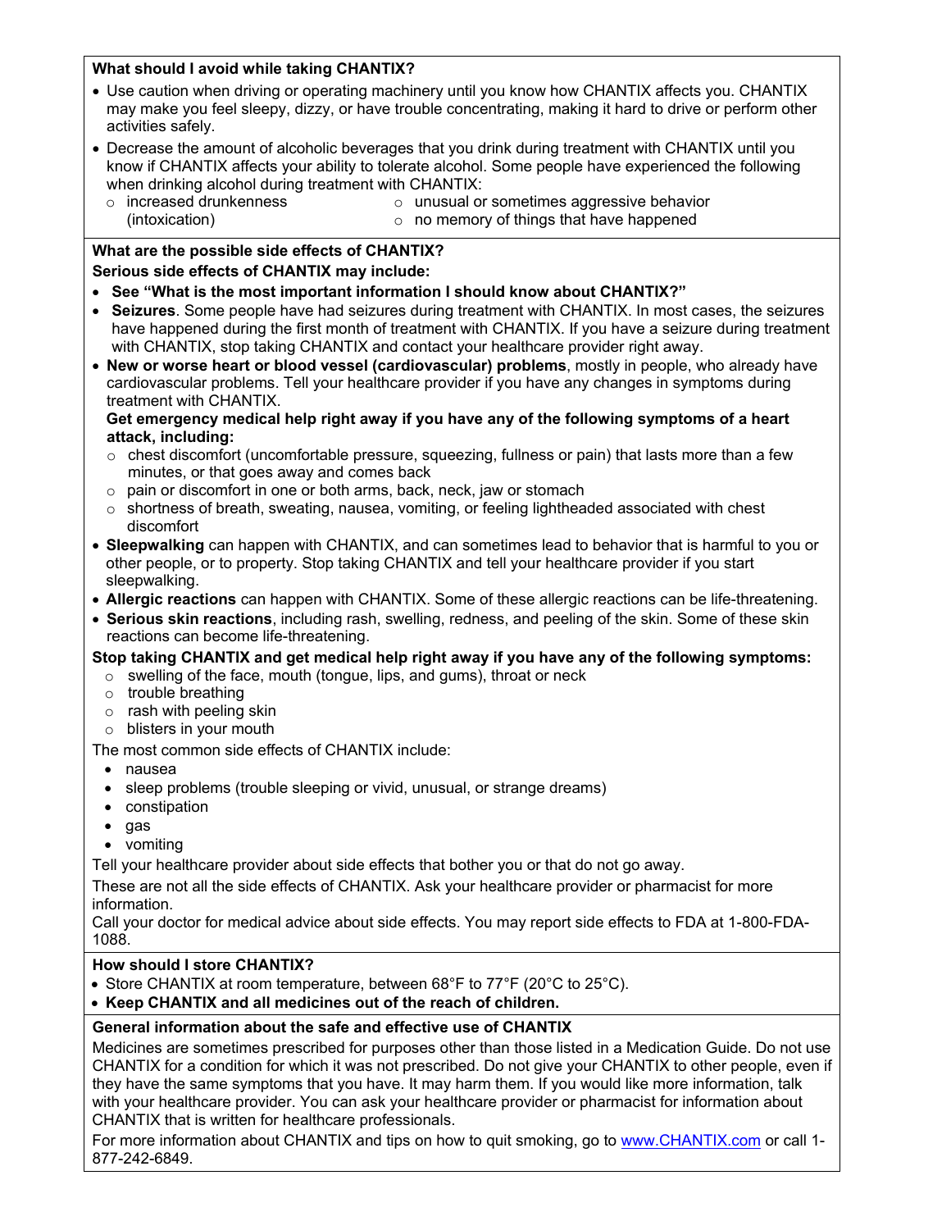# **What should I avoid while taking CHANTIX?**

• Use caution when driving or operating machinery until you know how CHANTIX affects you. CHANTIX may make you feel sleepy, dizzy, or have trouble concentrating, making it hard to drive or perform other activities safely.

• Decrease the amount of alcoholic beverages that you drink during treatment with CHANTIX until you know if CHANTIX affects your ability to tolerate alcohol. Some people have experienced the following when drinking alcohol during treatment with CHANTIX:

- o increased drunkenness (intoxication)
- o unusual or sometimes aggressive behavior
- o no memory of things that have happened

# **What are the possible side effects of CHANTIX?**

# **Serious side effects of CHANTIX may include:**

- **See "What is the most important information I should know about CHANTIX?"**
- **Seizures**. Some people have had seizures during treatment with CHANTIX. In most cases, the seizures have happened during the first month of treatment with CHANTIX. If you have a seizure during treatment with CHANTIX, stop taking CHANTIX and contact your healthcare provider right away.
- **New or worse heart or blood vessel (cardiovascular) problems**, mostly in people, who already have cardiovascular problems. Tell your healthcare provider if you have any changes in symptoms during treatment with CHANTIX.

## **Get emergency medical help right away if you have any of the following symptoms of a heart attack, including:**

- $\circ$  chest discomfort (uncomfortable pressure, squeezing, fullness or pain) that lasts more than a few minutes, or that goes away and comes back
- o pain or discomfort in one or both arms, back, neck, jaw or stomach
- $\circ$  shortness of breath, sweating, nausea, vomiting, or feeling lightheaded associated with chest discomfort
- **Sleepwalking** can happen with CHANTIX, and can sometimes lead to behavior that is harmful to you or other people, or to property. Stop taking CHANTIX and tell your healthcare provider if you start sleepwalking.
- **Allergic reactions** can happen with CHANTIX. Some of these allergic reactions can be life-threatening.
- **Serious skin reactions**, including rash, swelling, redness, and peeling of the skin. Some of these skin reactions can become life-threatening.

# **Stop taking CHANTIX and get medical help right away if you have any of the following symptoms:**

- $\circ$  swelling of the face, mouth (tongue, lips, and gums), throat or neck
- o trouble breathing
- o rash with peeling skin
- o blisters in your mouth

The most common side effects of CHANTIX include:

- nausea
- sleep problems (trouble sleeping or vivid, unusual, or strange dreams)
- constipation
- gas
- vomiting

Tell your healthcare provider about side effects that bother you or that do not go away.

These are not all the side effects of CHANTIX. Ask your healthcare provider or pharmacist for more information.

Call your doctor for medical advice about side effects. You may report side effects to FDA at 1-800-FDA-1088.

## **How should I store CHANTIX?**

- Store CHANTIX at room temperature, between 68°F to 77°F (20°C to 25°C).
- **Keep CHANTIX and all medicines out of the reach of children.**

# **General information about the safe and effective use of CHANTIX**

Medicines are sometimes prescribed for purposes other than those listed in a Medication Guide. Do not use CHANTIX for a condition for which it was not prescribed. Do not give your CHANTIX to other people, even if they have the same symptoms that you have. It may harm them. If you would like more information, talk with your healthcare provider. You can ask your healthcare provider or pharmacist for information about CHANTIX that is written for healthcare professionals.

For more information about CHANTIX and tips on how to quit smoking, go to [www.CHANTIX.com](http://www.chantix.com/) or call 1- 877-242-6849.